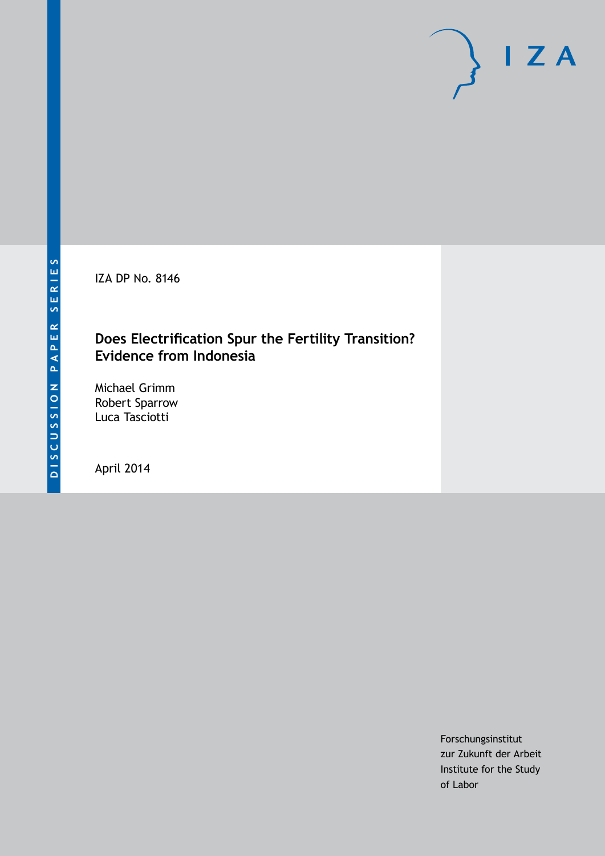IZA DP No. 8146

# **Does Electrification Spur the Fertility Transition? Evidence from Indonesia**

Michael Grimm Robert Sparrow Luca Tasciotti

April 2014

Forschungsinstitut zur Zukunft der Arbeit Institute for the Study of Labor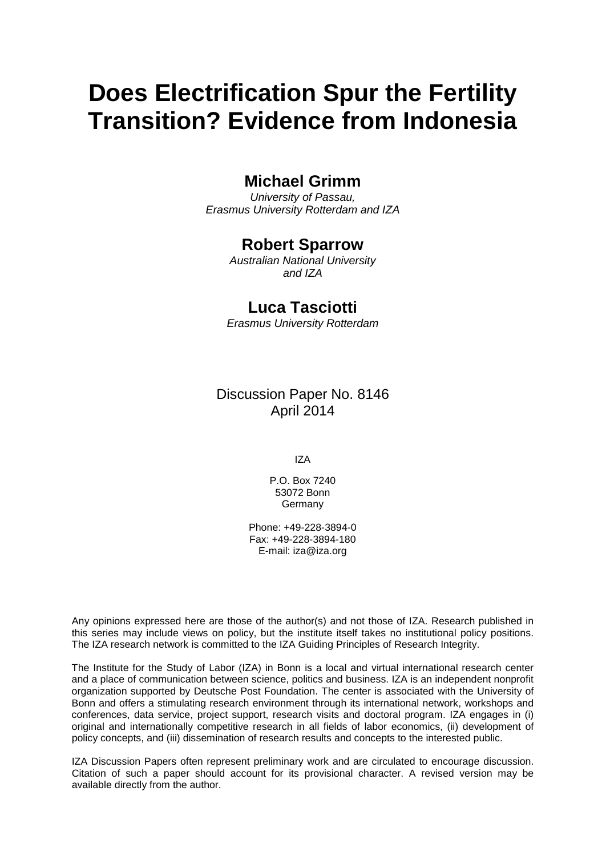# **Does Electrification Spur the Fertility Transition? Evidence from Indonesia**

# **Michael Grimm**

*University of Passau, Erasmus University Rotterdam and IZA*

# **Robert Sparrow**

*Australian National University and IZA*

# **Luca Tasciotti**

*Erasmus University Rotterdam*

Discussion Paper No. 8146 April 2014

IZA

P.O. Box 7240 53072 Bonn Germany

Phone: +49-228-3894-0 Fax: +49-228-3894-180 E-mail: [iza@iza.org](mailto:iza@iza.org)

Any opinions expressed here are those of the author(s) and not those of IZA. Research published in this series may include views on policy, but the institute itself takes no institutional policy positions. The IZA research network is committed to the IZA Guiding Principles of Research Integrity.

The Institute for the Study of Labor (IZA) in Bonn is a local and virtual international research center and a place of communication between science, politics and business. IZA is an independent nonprofit organization supported by Deutsche Post Foundation. The center is associated with the University of Bonn and offers a stimulating research environment through its international network, workshops and conferences, data service, project support, research visits and doctoral program. IZA engages in (i) original and internationally competitive research in all fields of labor economics, (ii) development of policy concepts, and (iii) dissemination of research results and concepts to the interested public.

<span id="page-1-0"></span>IZA Discussion Papers often represent preliminary work and are circulated to encourage discussion. Citation of such a paper should account for its provisional character. A revised version may be available directly from the author.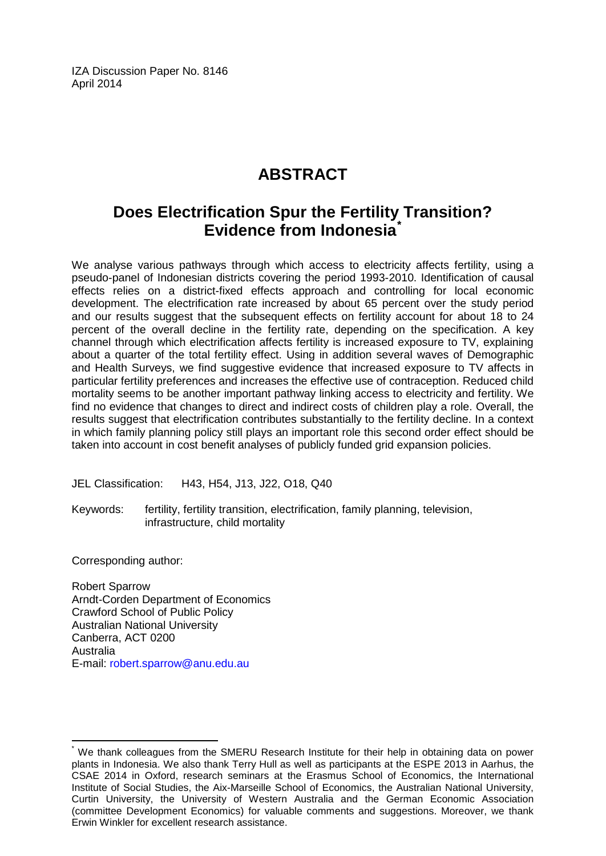IZA Discussion Paper No. 8146 April 2014

# **ABSTRACT**

# **Does Electrification Spur the Fertility Transition? Evidence from Indonesia[\\*](#page-1-0)**

We analyse various pathways through which access to electricity affects fertility, using a pseudo-panel of Indonesian districts covering the period 1993-2010. Identification of causal effects relies on a district-fixed effects approach and controlling for local economic development. The electrification rate increased by about 65 percent over the study period and our results suggest that the subsequent effects on fertility account for about 18 to 24 percent of the overall decline in the fertility rate, depending on the specification. A key channel through which electrification affects fertility is increased exposure to TV, explaining about a quarter of the total fertility effect. Using in addition several waves of Demographic and Health Surveys, we find suggestive evidence that increased exposure to TV affects in particular fertility preferences and increases the effective use of contraception. Reduced child mortality seems to be another important pathway linking access to electricity and fertility. We find no evidence that changes to direct and indirect costs of children play a role. Overall, the results suggest that electrification contributes substantially to the fertility decline. In a context in which family planning policy still plays an important role this second order effect should be taken into account in cost benefit analyses of publicly funded grid expansion policies.

JEL Classification: H43, H54, J13, J22, O18, Q40

Keywords: fertility, fertility transition, electrification, family planning, television, infrastructure, child mortality

Corresponding author:

Robert Sparrow Arndt-Corden Department of Economics Crawford School of Public Policy Australian National University Canberra, ACT 0200 Australia E-mail: [robert.sparrow@anu.edu.au](mailto:robert.sparrow@anu.edu.au)

We thank colleagues from the SMERU Research Institute for their help in obtaining data on power plants in Indonesia. We also thank Terry Hull as well as participants at the ESPE 2013 in Aarhus, the CSAE 2014 in Oxford, research seminars at the Erasmus School of Economics, the International Institute of Social Studies, the Aix-Marseille School of Economics, the Australian National University, Curtin University, the University of Western Australia and the German Economic Association (committee Development Economics) for valuable comments and suggestions. Moreover, we thank Erwin Winkler for excellent research assistance.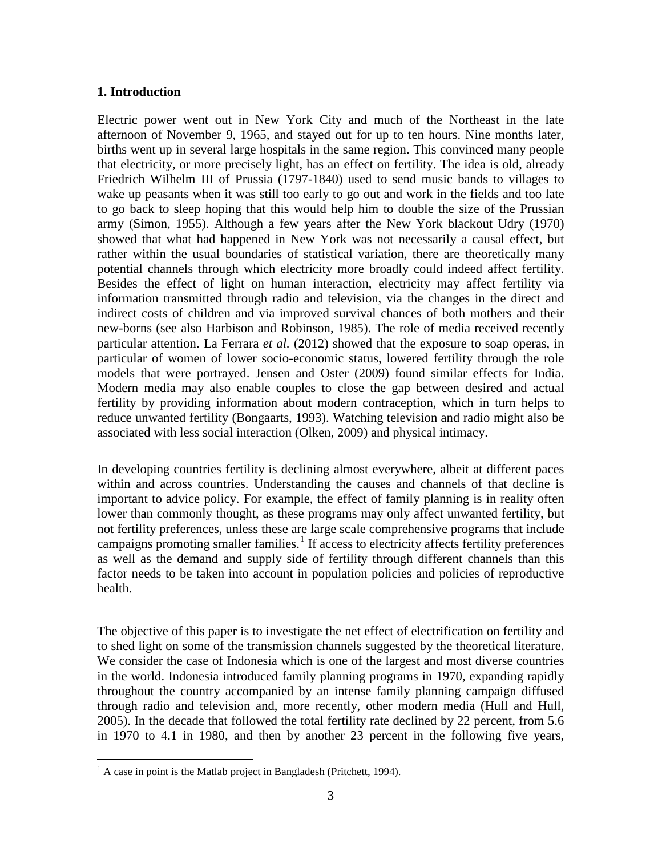### **1. Introduction**

Electric power went out in New York City and much of the Northeast in the late afternoon of November 9, 1965, and stayed out for up to ten hours. Nine months later, births went up in several large hospitals in the same region. This convinced many people that electricity, or more precisely light, has an effect on fertility. The idea is old, already Friedrich Wilhelm III of Prussia (1797-1840) used to send music bands to villages to wake up peasants when it was still too early to go out and work in the fields and too late to go back to sleep hoping that this would help him to double the size of the Prussian army (Simon, 1955). Although a few years after the New York blackout Udry (1970) showed that what had happened in New York was not necessarily a causal effect, but rather within the usual boundaries of statistical variation, there are theoretically many potential channels through which electricity more broadly could indeed affect fertility. Besides the effect of light on human interaction, electricity may affect fertility via information transmitted through radio and television, via the changes in the direct and indirect costs of children and via improved survival chances of both mothers and their new-borns (see also Harbison and Robinson, 1985). The role of media received recently particular attention. La Ferrara *et al.* (2012) showed that the exposure to soap operas, in particular of women of lower socio-economic status, lowered fertility through the role models that were portrayed. Jensen and Oster (2009) found similar effects for India. Modern media may also enable couples to close the gap between desired and actual fertility by providing information about modern contraception, which in turn helps to reduce unwanted fertility (Bongaarts, 1993). Watching television and radio might also be associated with less social interaction (Olken, 2009) and physical intimacy.

In developing countries fertility is declining almost everywhere, albeit at different paces within and across countries. Understanding the causes and channels of that decline is important to advice policy. For example, the effect of family planning is in reality often lower than commonly thought, as these programs may only affect unwanted fertility, but not fertility preferences, unless these are large scale comprehensive programs that include campaigns promoting smaller families.<sup>1</sup> If access to electricity affects fertility preferences as well as the demand and supply side of fertility through different channels than this factor needs to be taken into account in population policies and policies of reproductive health.

The objective of this paper is to investigate the net effect of electrification on fertility and to shed light on some of the transmission channels suggested by the theoretical literature. We consider the case of Indonesia which is one of the largest and most diverse countries in the world. Indonesia introduced family planning programs in 1970, expanding rapidly throughout the country accompanied by an intense family planning campaign diffused through radio and television and, more recently, other modern media (Hull and Hull, 2005). In the decade that followed the total fertility rate declined by 22 percent, from 5.6 in 1970 to 4.1 in 1980, and then by another 23 percent in the following five years,

<span id="page-3-0"></span> $<sup>1</sup>$  A case in point is the Matlab project in Bangladesh (Pritchett, 1994).</sup>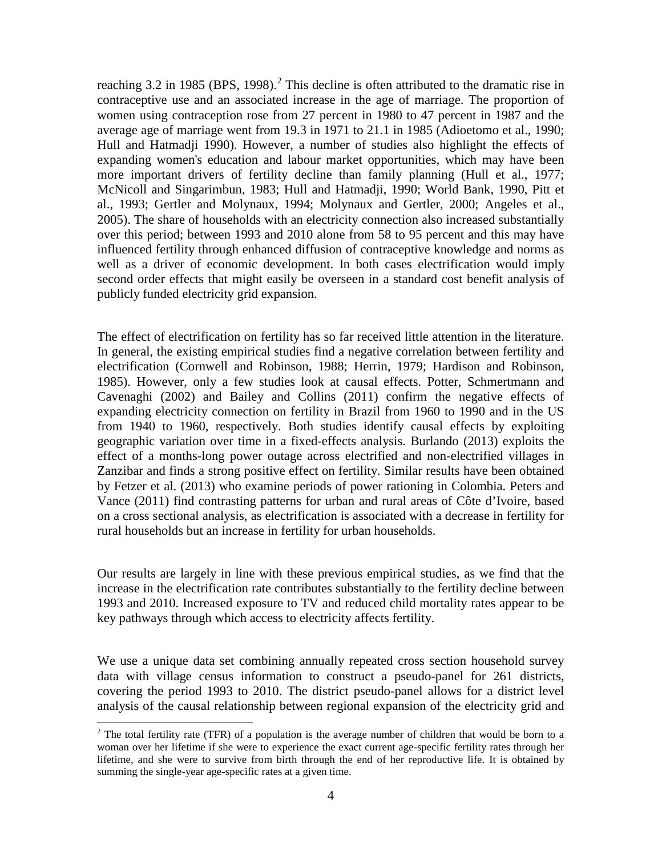reaching 3.[2](#page-3-0) in 1985 (BPS, 1998).<sup>2</sup> This decline is often attributed to the dramatic rise in contraceptive use and an associated increase in the age of marriage. The proportion of women using contraception rose from 27 percent in 1980 to 47 percent in 1987 and the average age of marriage went from 19.3 in 1971 to 21.1 in 1985 (Adioetomo et al., 1990; Hull and Hatmadji 1990). However, a number of studies also highlight the effects of expanding women's education and labour market opportunities, which may have been more important drivers of fertility decline than family planning (Hull et al., 1977; McNicoll and Singarimbun, 1983; Hull and Hatmadji, 1990; World Bank, 1990, Pitt et al., 1993; Gertler and Molynaux, 1994; Molynaux and Gertler, 2000; Angeles et al., 2005). The share of households with an electricity connection also increased substantially over this period; between 1993 and 2010 alone from 58 to 95 percent and this may have influenced fertility through enhanced diffusion of contraceptive knowledge and norms as well as a driver of economic development. In both cases electrification would imply second order effects that might easily be overseen in a standard cost benefit analysis of publicly funded electricity grid expansion.

The effect of electrification on fertility has so far received little attention in the literature. In general, the existing empirical studies find a negative correlation between fertility and electrification (Cornwell and Robinson, 1988; Herrin, 1979; Hardison and Robinson, 1985). However, only a few studies look at causal effects. Potter, Schmertmann and Cavenaghi (2002) and Bailey and Collins (2011) confirm the negative effects of expanding electricity connection on fertility in Brazil from 1960 to 1990 and in the US from 1940 to 1960, respectively. Both studies identify causal effects by exploiting geographic variation over time in a fixed-effects analysis. Burlando (2013) exploits the effect of a months-long power outage across electrified and non-electrified villages in Zanzibar and finds a strong positive effect on fertility. Similar results have been obtained by Fetzer et al. (2013) who examine periods of power rationing in Colombia. Peters and Vance (2011) find contrasting patterns for urban and rural areas of Côte d'Ivoire, based on a cross sectional analysis, as electrification is associated with a decrease in fertility for rural households but an increase in fertility for urban households.

Our results are largely in line with these previous empirical studies, as we find that the increase in the electrification rate contributes substantially to the fertility decline between 1993 and 2010. Increased exposure to TV and reduced child mortality rates appear to be key pathways through which access to electricity affects fertility.

We use a unique data set combining annually repeated cross section household survey data with village census information to construct a pseudo-panel for 261 districts, covering the period 1993 to 2010. The district pseudo-panel allows for a district level analysis of the causal relationship between regional expansion of the electricity grid and

<span id="page-4-0"></span> $2$  The total fertility rate (TFR) of a population is the average number of children that would be born to a woman over her lifetime if she were to experience the exact current age-specific fertility rates through her lifetime, and she were to survive from birth through the end of her reproductive life. It is obtained by summing the single-year age-specific rates at a given time.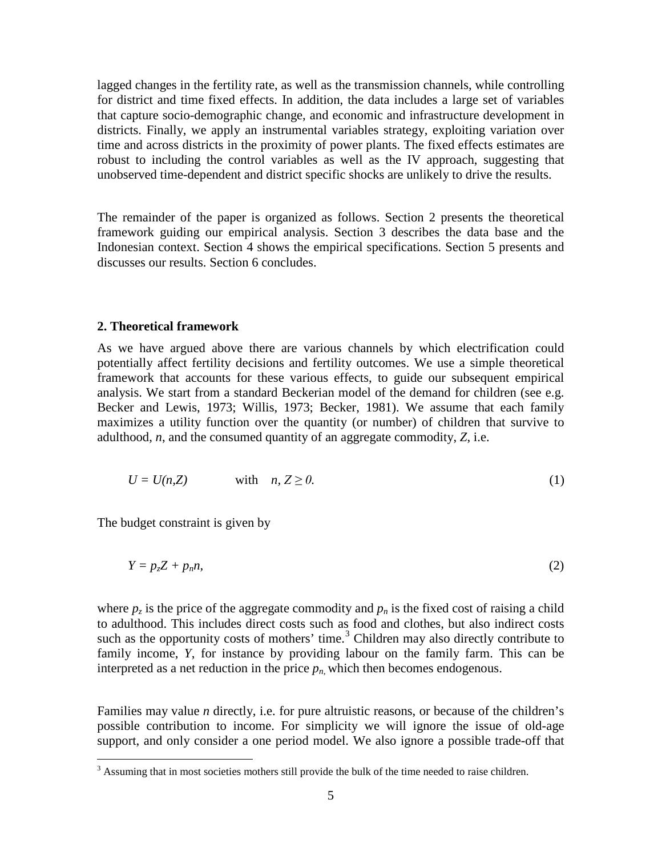lagged changes in the fertility rate, as well as the transmission channels, while controlling for district and time fixed effects. In addition, the data includes a large set of variables that capture socio-demographic change, and economic and infrastructure development in districts. Finally, we apply an instrumental variables strategy, exploiting variation over time and across districts in the proximity of power plants. The fixed effects estimates are robust to including the control variables as well as the IV approach, suggesting that unobserved time-dependent and district specific shocks are unlikely to drive the results.

The remainder of the paper is organized as follows. Section 2 presents the theoretical framework guiding our empirical analysis. Section 3 describes the data base and the Indonesian context. Section 4 shows the empirical specifications. Section 5 presents and discusses our results. Section 6 concludes.

#### **2. Theoretical framework**

As we have argued above there are various channels by which electrification could potentially affect fertility decisions and fertility outcomes. We use a simple theoretical framework that accounts for these various effects, to guide our subsequent empirical analysis. We start from a standard Beckerian model of the demand for children (see e.g. Becker and Lewis, 1973; Willis, 1973; Becker, 1981). We assume that each family maximizes a utility function over the quantity (or number) of children that survive to adulthood, *n*, and the consumed quantity of an aggregate commodity, *Z*, i.e.

$$
U = U(n, Z) \qquad \text{with} \quad n, Z \ge 0. \tag{1}
$$

The budget constraint is given by

$$
Y = p_z Z + p_n n,\tag{2}
$$

where  $p_z$  is the price of the aggregate commodity and  $p_n$  is the fixed cost of raising a child to adulthood. This includes direct costs such as food and clothes, but also indirect costs such as the opportunity costs of mothers' time.<sup>[3](#page-4-0)</sup> Children may also directly contribute to family income, *Y*, for instance by providing labour on the family farm. This can be interpreted as a net reduction in the price  $p_n$ , which then becomes endogenous.

Families may value *n* directly, i.e. for pure altruistic reasons, or because of the children's possible contribution to income. For simplicity we will ignore the issue of old-age support, and only consider a one period model. We also ignore a possible trade-off that

<span id="page-5-0"></span><sup>&</sup>lt;sup>3</sup> Assuming that in most societies mothers still provide the bulk of the time needed to raise children.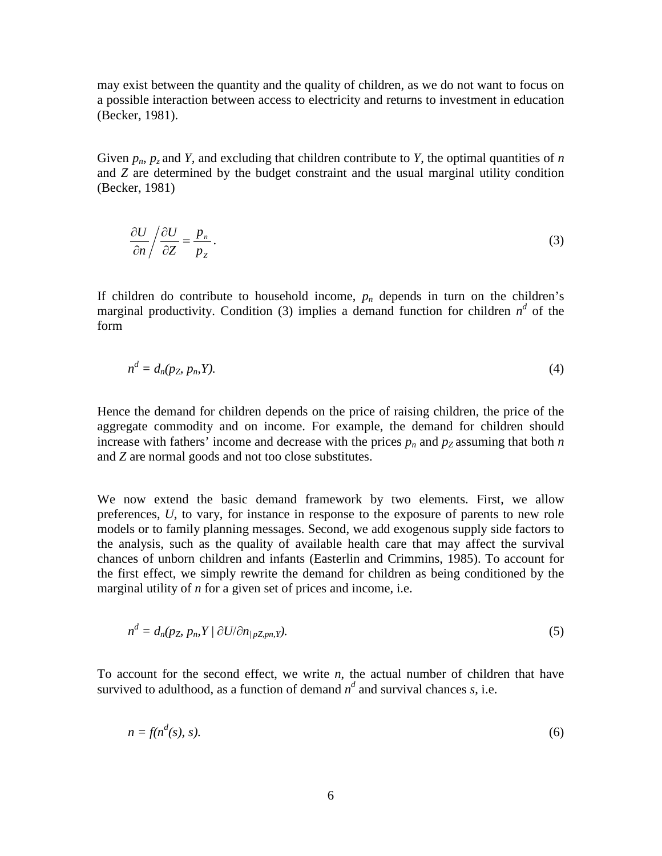may exist between the quantity and the quality of children, as we do not want to focus on a possible interaction between access to electricity and returns to investment in education (Becker, 1981).

Given  $p_n$ ,  $p_z$  and *Y*, and excluding that children contribute to *Y*, the optimal quantities of *n* and *Z* are determined by the budget constraint and the usual marginal utility condition (Becker, 1981)

$$
\frac{\partial U}{\partial n} / \frac{\partial U}{\partial Z} = \frac{p_n}{p_Z} \,. \tag{3}
$$

If children do contribute to household income,  $p_n$  depends in turn on the children's marginal productivity. Condition (3) implies a demand function for children  $n^d$  of the form

*d*

$$
n^d = d_n(p_Z, p_n, Y). \tag{4}
$$

Hence the demand for children depends on the price of raising children, the price of the aggregate commodity and on income. For example, the demand for children should increase with fathers' income and decrease with the prices  $p_n$  and  $p_z$  assuming that both  $n$ and *Z* are normal goods and not too close substitutes.

We now extend the basic demand framework by two elements. First, we allow preferences, *U*, to vary, for instance in response to the exposure of parents to new role models or to family planning messages. Second, we add exogenous supply side factors to the analysis, such as the quality of available health care that may affect the survival chances of unborn children and infants (Easterlin and Crimmins, 1985). To account for the first effect, we simply rewrite the demand for children as being conditioned by the marginal utility of *n* for a given set of prices and income, i.e.

$$
n^d = d_n(p_Z, p_n, Y \mid \partial U / \partial n_{\mid pZ, pn, Y}).
$$
\n<sup>(5)</sup>

To account for the second effect, we write *n*, the actual number of children that have survived to adulthood, as a function of demand  $n^d$  and survival chances *s*, i.e.

$$
n = f(n^d(s), s). \tag{6}
$$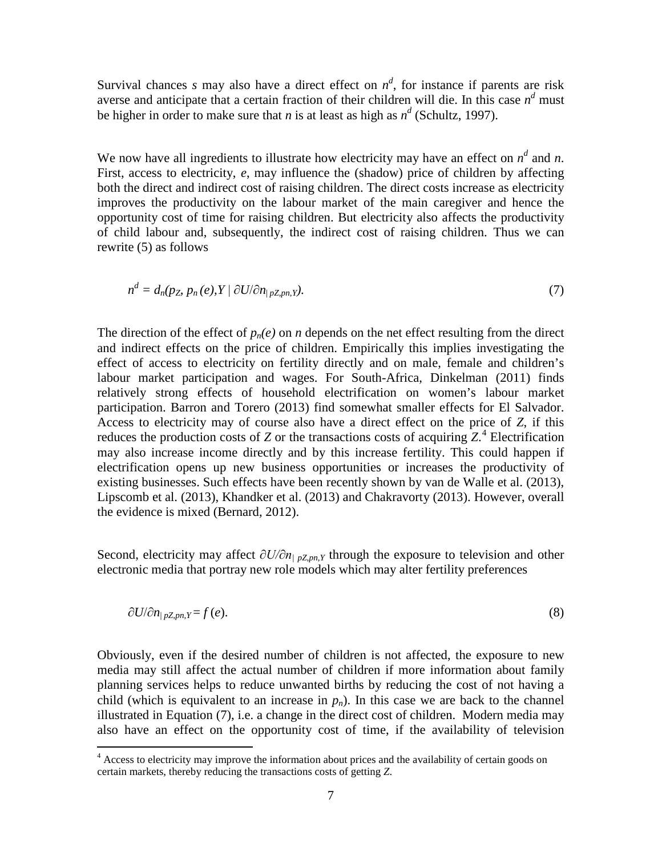Survival chances *s* may also have a direct effect on  $n^d$ , for instance if parents are risk averse and anticipate that a certain fraction of their children will die. In this case  $n<sup>d</sup>$  must be higher in order to make sure that *n* is at least as high as  $n^d$  (Schultz, 1997).

We now have all ingredients to illustrate how electricity may have an effect on  $n^d$  and n. First, access to electricity, *e*, may influence the (shadow) price of children by affecting both the direct and indirect cost of raising children. The direct costs increase as electricity improves the productivity on the labour market of the main caregiver and hence the opportunity cost of time for raising children. But electricity also affects the productivity of child labour and, subsequently, the indirect cost of raising children. Thus we can rewrite (5) as follows

$$
n^d = d_n(p_Z, p_n(e), Y \mid \partial U / \partial n_{\mid pZ, pn, Y}).
$$
\n(7)

The direction of the effect of  $p_n(e)$  on *n* depends on the net effect resulting from the direct and indirect effects on the price of children. Empirically this implies investigating the effect of access to electricity on fertility directly and on male, female and children's labour market participation and wages. For South-Africa, Dinkelman (2011) finds relatively strong effects of household electrification on women's labour market participation. Barron and Torero (2013) find somewhat smaller effects for El Salvador. Access to electricity may of course also have a direct effect on the price of *Z*, if this reduces the production costs of *Z* or the transactions costs of acquiring *Z*. [4](#page-5-0) Electrification may also increase income directly and by this increase fertility. This could happen if electrification opens up new business opportunities or increases the productivity of existing businesses. Such effects have been recently shown by van de Walle et al. (2013), Lipscomb et al. (2013), Khandker et al. (2013) and Chakravorty (2013). However, overall the evidence is mixed (Bernard, 2012).

Second, electricity may affect  $\partial U/\partial n_{/pZ, pn, Y}$  through the exposure to television and other electronic media that portray new role models which may alter fertility preferences

$$
\partial U/\partial n_{|p \mathbf{Z}, p \mathbf{n}, \mathbf{Y}} = f(e). \tag{8}
$$

Obviously, even if the desired number of children is not affected, the exposure to new media may still affect the actual number of children if more information about family planning services helps to reduce unwanted births by reducing the cost of not having a child (which is equivalent to an increase in  $p_n$ ). In this case we are back to the channel illustrated in Equation (7), i.e. a change in the direct cost of children. Modern media may also have an effect on the opportunity cost of time, if the availability of television

<span id="page-7-0"></span><sup>&</sup>lt;sup>4</sup> Access to electricity may improve the information about prices and the availability of certain goods on certain markets, thereby reducing the transactions costs of getting *Z*.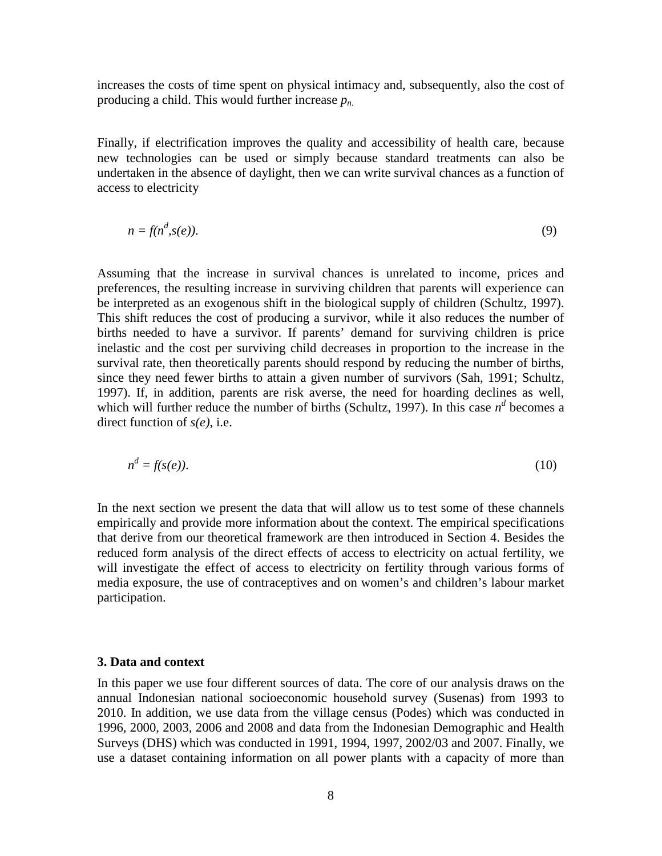increases the costs of time spent on physical intimacy and, subsequently, also the cost of producing a child. This would further increase *pn*.

Finally, if electrification improves the quality and accessibility of health care, because new technologies can be used or simply because standard treatments can also be undertaken in the absence of daylight, then we can write survival chances as a function of access to electricity

$$
n = f(n^d, s(e)).
$$
\n<sup>(9)</sup>

Assuming that the increase in survival chances is unrelated to income, prices and preferences, the resulting increase in surviving children that parents will experience can be interpreted as an exogenous shift in the biological supply of children (Schultz, 1997). This shift reduces the cost of producing a survivor, while it also reduces the number of births needed to have a survivor. If parents' demand for surviving children is price inelastic and the cost per surviving child decreases in proportion to the increase in the survival rate, then theoretically parents should respond by reducing the number of births, since they need fewer births to attain a given number of survivors (Sah, 1991; Schultz, 1997). If, in addition, parents are risk averse, the need for hoarding declines as well, which will further reduce the number of births (Schultz, 1997). In this case  $n^d$  becomes a direct function of *s(e)*, i.e.

$$
n^d = f(s(e)).\tag{10}
$$

In the next section we present the data that will allow us to test some of these channels empirically and provide more information about the context. The empirical specifications that derive from our theoretical framework are then introduced in Section 4. Besides the reduced form analysis of the direct effects of access to electricity on actual fertility, we will investigate the effect of access to electricity on fertility through various forms of media exposure, the use of contraceptives and on women's and children's labour market participation.

#### **3. Data and context**

In this paper we use four different sources of data. The core of our analysis draws on the annual Indonesian national socioeconomic household survey (Susenas) from 1993 to 2010. In addition, we use data from the village census (Podes) which was conducted in 1996, 2000, 2003, 2006 and 2008 and data from the Indonesian Demographic and Health Surveys (DHS) which was conducted in 1991, 1994, 1997, 2002/03 and 2007. Finally, we use a dataset containing information on all power plants with a capacity of more than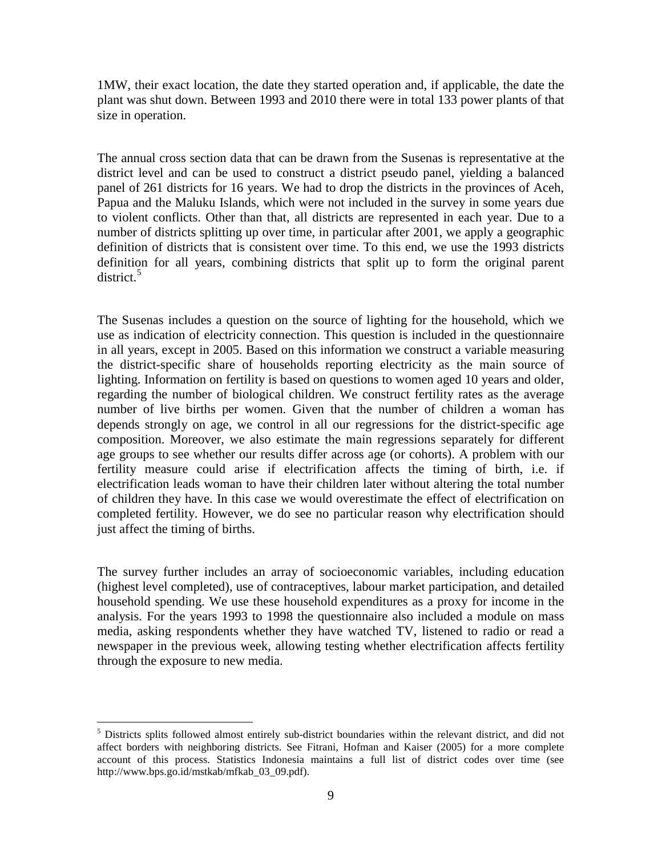1MW, their exact location, the date they started operation and, if applicable, the date the plant was shut down. Between 1993 and 2010 there were in total 133 power plants of that size in operation.

The annual cross section data that can be drawn from the Susenas is representative at the district level and can be used to construct a district pseudo panel, yielding a balanced panel of 261 districts for 16 years. We had to drop the districts in the provinces of Aceh, Papua and the Maluku Islands, which were not included in the survey in some years due to violent conflicts. Other than that, all districts are represented in each year. Due to a number of districts splitting up over time, in particular after 2001, we apply a geographic definition of districts that is consistent over time. To this end, we use the 1993 districts definition for all years, combining districts that split up to form the original parent district. [5](#page-7-0)

The Susenas includes a question on the source of lighting for the household, which we use as indication of electricity connection. This question is included in the questionnaire in all years, except in 2005. Based on this information we construct a variable measuring the district-specific share of households reporting electricity as the main source of lighting. Information on fertility is based on questions to women aged 10 years and older, regarding the number of biological children. We construct fertility rates as the average number of live births per women. Given that the number of children a woman has depends strongly on age, we control in all our regressions for the district-specific age composition. Moreover, we also estimate the main regressions separately for different age groups to see whether our results differ across age (or cohorts). A problem with our fertility measure could arise if electrification affects the timing of birth, i.e. if electrification leads woman to have their children later without altering the total number of children they have. In this case we would overestimate the effect of electrification on completed fertility. However, we do see no particular reason why electrification should just affect the timing of births.

The survey further includes an array of socioeconomic variables, including education (highest level completed), use of contraceptives, labour market participation, and detailed household spending. We use these household expenditures as a proxy for income in the analysis. For the years 1993 to 1998 the questionnaire also included a module on mass media, asking respondents whether they have watched TV, listened to radio or read a newspaper in the previous week, allowing testing whether electrification affects fertility through the exposure to new media.

<span id="page-9-0"></span> $<sup>5</sup>$  Districts splits followed almost entirely sub-district boundaries within the relevant district, and did not</sup> affect borders with neighboring districts. See Fitrani, Hofman and Kaiser (2005) for a more complete account of this process. Statistics Indonesia maintains a full list of district codes over time (see http://www.bps.go.id/mstkab/mfkab\_03\_09.pdf).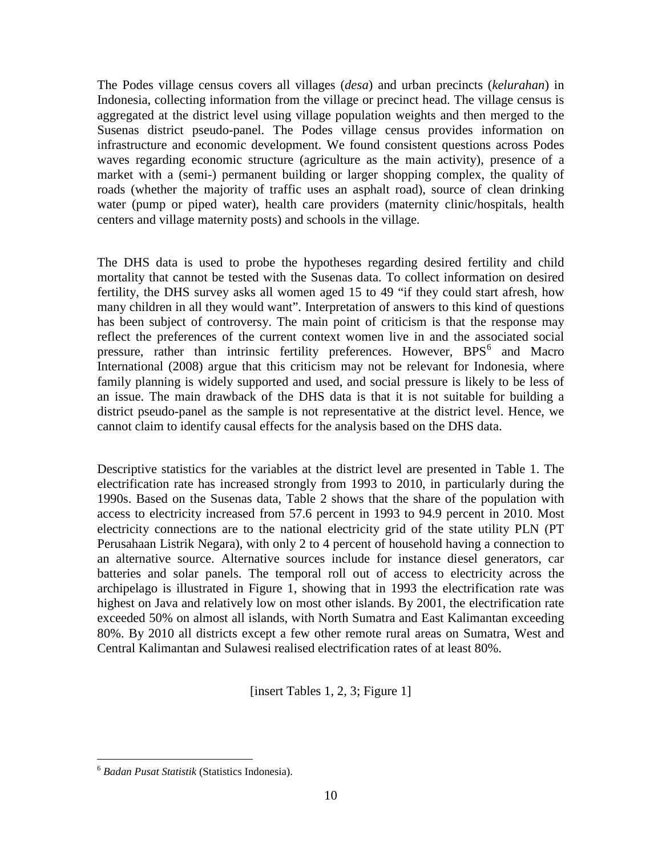The Podes village census covers all villages (*desa*) and urban precincts (*kelurahan*) in Indonesia, collecting information from the village or precinct head. The village census is aggregated at the district level using village population weights and then merged to the Susenas district pseudo-panel. The Podes village census provides information on infrastructure and economic development. We found consistent questions across Podes waves regarding economic structure (agriculture as the main activity), presence of a market with a (semi-) permanent building or larger shopping complex, the quality of roads (whether the majority of traffic uses an asphalt road), source of clean drinking water (pump or piped water), health care providers (maternity clinic/hospitals, health centers and village maternity posts) and schools in the village.

The DHS data is used to probe the hypotheses regarding desired fertility and child mortality that cannot be tested with the Susenas data. To collect information on desired fertility, the DHS survey asks all women aged 15 to 49 "if they could start afresh, how many children in all they would want". Interpretation of answers to this kind of questions has been subject of controversy. The main point of criticism is that the response may reflect the preferences of the current context women live in and the associated social pressure, rather than intrinsic fertility preferences. However, BPS<sup>[6](#page-9-0)</sup> and Macro International (2008) argue that this criticism may not be relevant for Indonesia, where family planning is widely supported and used, and social pressure is likely to be less of an issue. The main drawback of the DHS data is that it is not suitable for building a district pseudo-panel as the sample is not representative at the district level. Hence, we cannot claim to identify causal effects for the analysis based on the DHS data.

Descriptive statistics for the variables at the district level are presented in Table 1. The electrification rate has increased strongly from 1993 to 2010, in particularly during the 1990s. Based on the Susenas data, Table 2 shows that the share of the population with access to electricity increased from 57.6 percent in 1993 to 94.9 percent in 2010. Most electricity connections are to the national electricity grid of the state utility PLN (PT Perusahaan Listrik Negara), with only 2 to 4 percent of household having a connection to an alternative source. Alternative sources include for instance diesel generators, car batteries and solar panels. The temporal roll out of access to electricity across the archipelago is illustrated in Figure 1, showing that in 1993 the electrification rate was highest on Java and relatively low on most other islands. By 2001, the electrification rate exceeded 50% on almost all islands, with North Sumatra and East Kalimantan exceeding 80%. By 2010 all districts except a few other remote rural areas on Sumatra, West and Central Kalimantan and Sulawesi realised electrification rates of at least 80%.

[insert Tables 1, 2, 3; Figure 1]

<span id="page-10-0"></span> <sup>6</sup> *Badan Pusat Statistik* (Statistics Indonesia).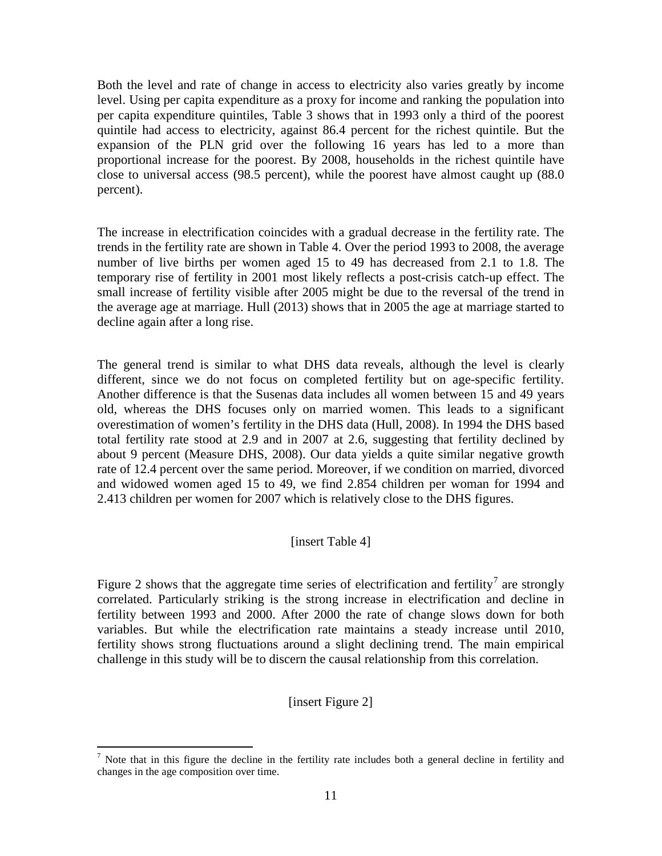Both the level and rate of change in access to electricity also varies greatly by income level. Using per capita expenditure as a proxy for income and ranking the population into per capita expenditure quintiles, Table 3 shows that in 1993 only a third of the poorest quintile had access to electricity, against 86.4 percent for the richest quintile. But the expansion of the PLN grid over the following 16 years has led to a more than proportional increase for the poorest. By 2008, households in the richest quintile have close to universal access (98.5 percent), while the poorest have almost caught up (88.0 percent).

The increase in electrification coincides with a gradual decrease in the fertility rate. The trends in the fertility rate are shown in Table 4. Over the period 1993 to 2008, the average number of live births per women aged 15 to 49 has decreased from 2.1 to 1.8. The temporary rise of fertility in 2001 most likely reflects a post-crisis catch-up effect. The small increase of fertility visible after 2005 might be due to the reversal of the trend in the average age at marriage. Hull (2013) shows that in 2005 the age at marriage started to decline again after a long rise.

The general trend is similar to what DHS data reveals, although the level is clearly different, since we do not focus on completed fertility but on age-specific fertility. Another difference is that the Susenas data includes all women between 15 and 49 years old, whereas the DHS focuses only on married women. This leads to a significant overestimation of women's fertility in the DHS data (Hull, 2008). In 1994 the DHS based total fertility rate stood at 2.9 and in 2007 at 2.6, suggesting that fertility declined by about 9 percent (Measure DHS, 2008). Our data yields a quite similar negative growth rate of 12.4 percent over the same period. Moreover, if we condition on married, divorced and widowed women aged 15 to 49, we find 2.854 children per woman for 1994 and 2.413 children per women for 2007 which is relatively close to the DHS figures.

# [insert Table 4]

Figure 2 shows that the aggregate time series of electrification and fertility<sup>[7](#page-10-0)</sup> are strongly correlated. Particularly striking is the strong increase in electrification and decline in fertility between 1993 and 2000. After 2000 the rate of change slows down for both variables. But while the electrification rate maintains a steady increase until 2010, fertility shows strong fluctuations around a slight declining trend. The main empirical challenge in this study will be to discern the causal relationship from this correlation.

[insert Figure 2]

<span id="page-11-0"></span><sup>&</sup>lt;sup>7</sup> Note that in this figure the decline in the fertility rate includes both a general decline in fertility and changes in the age composition over time.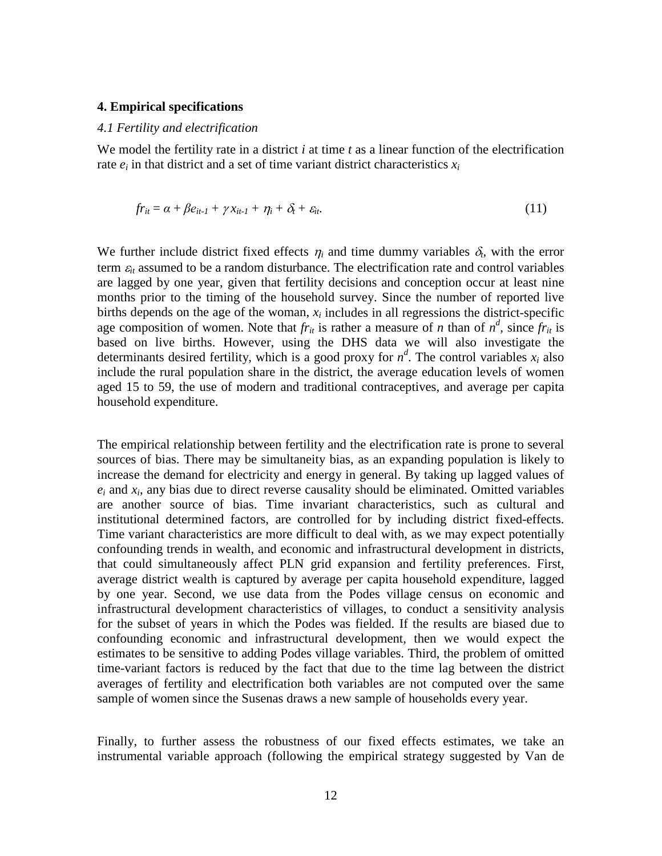#### **4. Empirical specifications**

#### *4.1 Fertility and electrification*

We model the fertility rate in a district *i* at time *t* as a linear function of the electrification rate  $e_i$  in that district and a set of time variant district characteristics  $x_i$ 

$$
fr_{it} = \alpha + \beta e_{it-l} + \gamma x_{it-l} + \eta_i + \delta_t + \varepsilon_{it} \tag{11}
$$

We further include district fixed effects  $\eta_i$  and time dummy variables  $\delta_t$ , with the error term  $\varepsilon$ <sub>*it*</sub> assumed to be a random disturbance. The electrification rate and control variables are lagged by one year, given that fertility decisions and conception occur at least nine months prior to the timing of the household survey. Since the number of reported live births depends on the age of the woman,  $x_i$  includes in all regressions the district-specific age composition of women. Note that  $fr_{it}$  is rather a measure of *n* than of  $n^d$ , since  $fr_{it}$  is based on live births. However, using the DHS data we will also investigate the determinants desired fertility, which is a good proxy for  $n^d$ . The control variables  $x_i$  also include the rural population share in the district, the average education levels of women aged 15 to 59, the use of modern and traditional contraceptives, and average per capita household expenditure.

The empirical relationship between fertility and the electrification rate is prone to several sources of bias. There may be simultaneity bias, as an expanding population is likely to increase the demand for electricity and energy in general. By taking up lagged values of  $e_i$  and  $x_i$ , any bias due to direct reverse causality should be eliminated. Omitted variables are another source of bias. Time invariant characteristics, such as cultural and institutional determined factors, are controlled for by including district fixed-effects. Time variant characteristics are more difficult to deal with, as we may expect potentially confounding trends in wealth, and economic and infrastructural development in districts, that could simultaneously affect PLN grid expansion and fertility preferences. First, average district wealth is captured by average per capita household expenditure, lagged by one year. Second, we use data from the Podes village census on economic and infrastructural development characteristics of villages, to conduct a sensitivity analysis for the subset of years in which the Podes was fielded. If the results are biased due to confounding economic and infrastructural development, then we would expect the estimates to be sensitive to adding Podes village variables. Third, the problem of omitted time-variant factors is reduced by the fact that due to the time lag between the district averages of fertility and electrification both variables are not computed over the same sample of women since the Susenas draws a new sample of households every year.

Finally, to further assess the robustness of our fixed effects estimates, we take an instrumental variable approach (following the empirical strategy suggested by Van de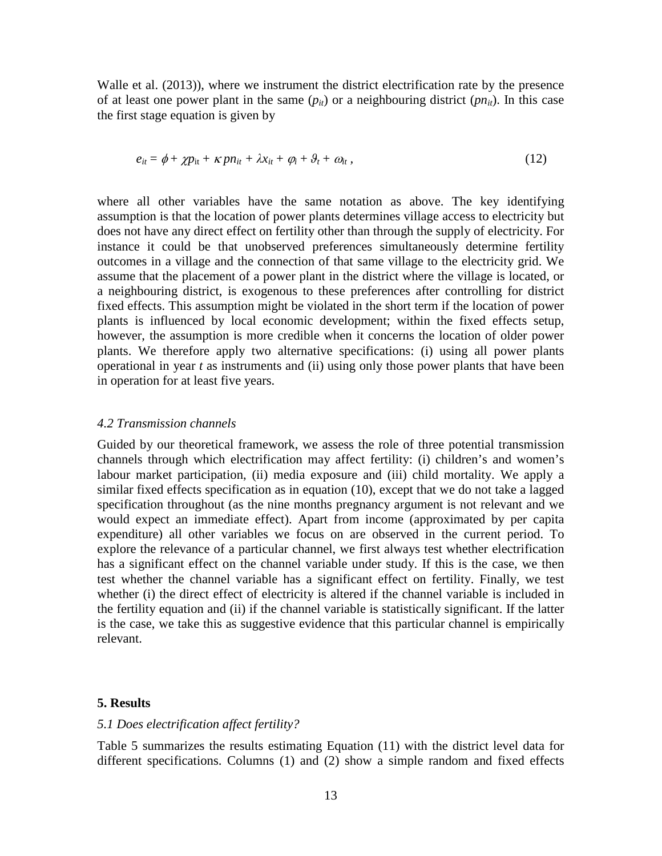Walle et al. (2013)), where we instrument the district electrification rate by the presence of at least one power plant in the same  $(p_{it})$  or a neighbouring district  $(p_{it})$ . In this case the first stage equation is given by

$$
e_{it} = \phi + \chi p_{it} + \kappa p n_{it} + \lambda x_{it} + \varphi_i + \vartheta_t + \vartheta_{it}, \qquad (12)
$$

where all other variables have the same notation as above. The key identifying assumption is that the location of power plants determines village access to electricity but does not have any direct effect on fertility other than through the supply of electricity. For instance it could be that unobserved preferences simultaneously determine fertility outcomes in a village and the connection of that same village to the electricity grid. We assume that the placement of a power plant in the district where the village is located, or a neighbouring district, is exogenous to these preferences after controlling for district fixed effects. This assumption might be violated in the short term if the location of power plants is influenced by local economic development; within the fixed effects setup, however, the assumption is more credible when it concerns the location of older power plants. We therefore apply two alternative specifications: (i) using all power plants operational in year *t* as instruments and (ii) using only those power plants that have been in operation for at least five years.

#### *4.2 Transmission channels*

Guided by our theoretical framework, we assess the role of three potential transmission channels through which electrification may affect fertility: (i) children's and women's labour market participation, (ii) media exposure and (iii) child mortality. We apply a similar fixed effects specification as in equation (10), except that we do not take a lagged specification throughout (as the nine months pregnancy argument is not relevant and we would expect an immediate effect). Apart from income (approximated by per capita expenditure) all other variables we focus on are observed in the current period. To explore the relevance of a particular channel, we first always test whether electrification has a significant effect on the channel variable under study. If this is the case, we then test whether the channel variable has a significant effect on fertility. Finally, we test whether (i) the direct effect of electricity is altered if the channel variable is included in the fertility equation and (ii) if the channel variable is statistically significant. If the latter is the case, we take this as suggestive evidence that this particular channel is empirically relevant.

#### **5. Results**

#### *5.1 Does electrification affect fertility?*

Table 5 summarizes the results estimating Equation (11) with the district level data for different specifications. Columns (1) and (2) show a simple random and fixed effects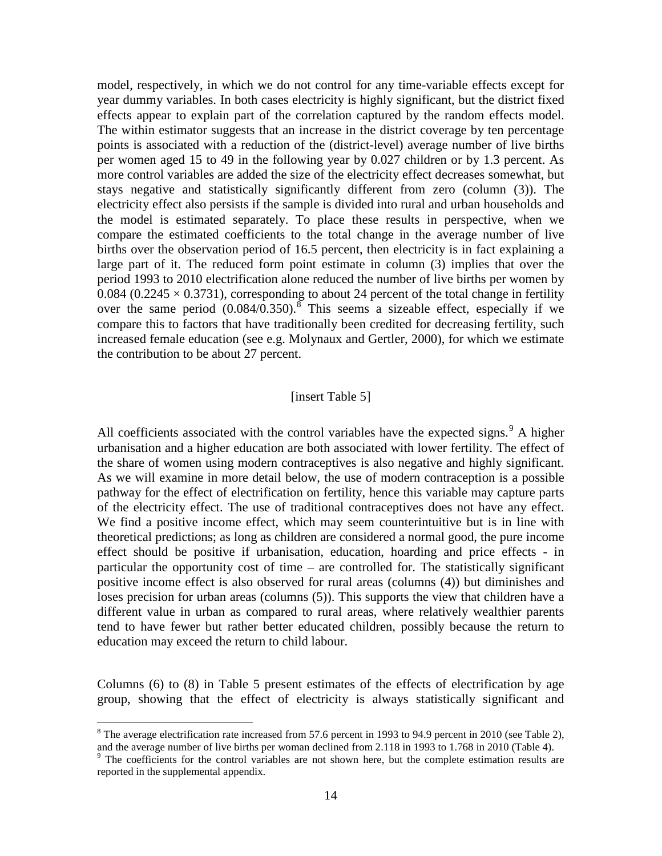model, respectively, in which we do not control for any time-variable effects except for year dummy variables. In both cases electricity is highly significant, but the district fixed effects appear to explain part of the correlation captured by the random effects model. The within estimator suggests that an increase in the district coverage by ten percentage points is associated with a reduction of the (district-level) average number of live births per women aged 15 to 49 in the following year by 0.027 children or by 1.3 percent. As more control variables are added the size of the electricity effect decreases somewhat, but stays negative and statistically significantly different from zero (column (3)). The electricity effect also persists if the sample is divided into rural and urban households and the model is estimated separately. To place these results in perspective, when we compare the estimated coefficients to the total change in the average number of live births over the observation period of 16.5 percent, then electricity is in fact explaining a large part of it. The reduced form point estimate in column (3) implies that over the period 1993 to 2010 electrification alone reduced the number of live births per women by 0.084 (0.2245  $\times$  0.3731), corresponding to about 24 percent of the total change in fertility over the same period  $(0.084/0.350)$  $(0.084/0.350)$  $(0.084/0.350)$ .<sup>8</sup> This seems a sizeable effect, especially if we compare this to factors that have traditionally been credited for decreasing fertility, such increased female education (see e.g. Molynaux and Gertler, 2000), for which we estimate the contribution to be about 27 percent.

#### [insert Table 5]

All coefficients associated with the control variables have the expected signs.<sup>[9](#page-14-0)</sup> A higher urbanisation and a higher education are both associated with lower fertility. The effect of the share of women using modern contraceptives is also negative and highly significant. As we will examine in more detail below, the use of modern contraception is a possible pathway for the effect of electrification on fertility, hence this variable may capture parts of the electricity effect. The use of traditional contraceptives does not have any effect. We find a positive income effect, which may seem counterintuitive but is in line with theoretical predictions; as long as children are considered a normal good, the pure income effect should be positive if urbanisation, education, hoarding and price effects - in particular the opportunity cost of time – are controlled for. The statistically significant positive income effect is also observed for rural areas (columns (4)) but diminishes and loses precision for urban areas (columns (5)). This supports the view that children have a different value in urban as compared to rural areas, where relatively wealthier parents tend to have fewer but rather better educated children, possibly because the return to education may exceed the return to child labour.

Columns (6) to (8) in Table 5 present estimates of the effects of electrification by age group, showing that the effect of electricity is always statistically significant and

 $8$  The average electrification rate increased from 57.6 percent in 1993 to 94.9 percent in 2010 (see Table 2), and the average number of live births per woman declined from 2.118 in 1993 to 1.768 in 2010 (Table 4).

<span id="page-14-0"></span> $9$  The coefficients for the control variables are not shown here, but the complete estimation results are reported in the supplemental appendix.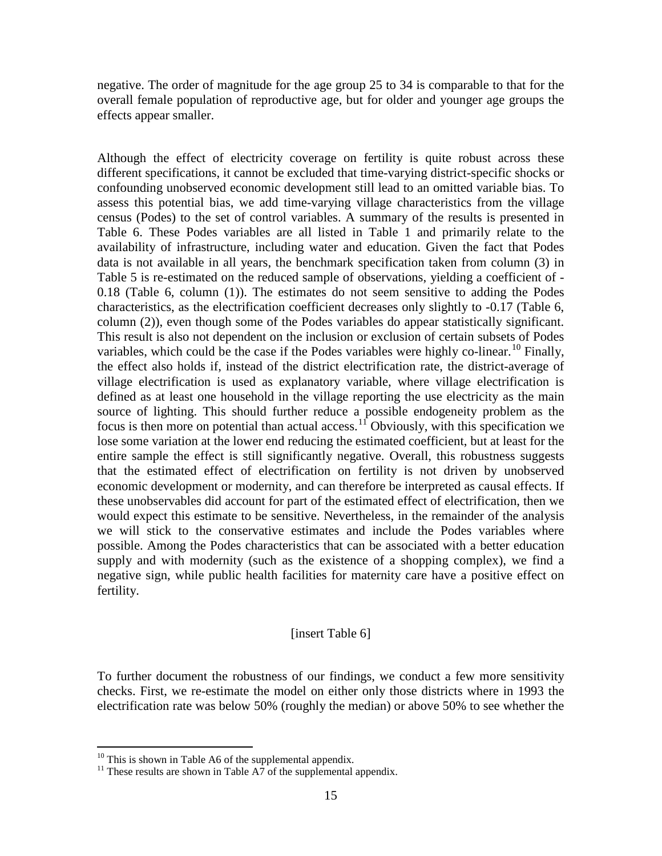negative. The order of magnitude for the age group 25 to 34 is comparable to that for the overall female population of reproductive age, but for older and younger age groups the effects appear smaller.

Although the effect of electricity coverage on fertility is quite robust across these different specifications, it cannot be excluded that time-varying district-specific shocks or confounding unobserved economic development still lead to an omitted variable bias. To assess this potential bias, we add time-varying village characteristics from the village census (Podes) to the set of control variables. A summary of the results is presented in Table 6. These Podes variables are all listed in Table 1 and primarily relate to the availability of infrastructure, including water and education. Given the fact that Podes data is not available in all years, the benchmark specification taken from column (3) in Table 5 is re-estimated on the reduced sample of observations, yielding a coefficient of - 0.18 (Table 6, column (1)). The estimates do not seem sensitive to adding the Podes characteristics, as the electrification coefficient decreases only slightly to -0.17 (Table 6, column (2)), even though some of the Podes variables do appear statistically significant. This result is also not dependent on the inclusion or exclusion of certain subsets of Podes variables, which could be the case if the Podes variables were highly co-linear.<sup>[10](#page-14-0)</sup> Finally, the effect also holds if, instead of the district electrification rate, the district-average of village electrification is used as explanatory variable, where village electrification is defined as at least one household in the village reporting the use electricity as the main source of lighting. This should further reduce a possible endogeneity problem as the focus is then more on potential than actual access.<sup>[11](#page-15-0)</sup> Obviously, with this specification we lose some variation at the lower end reducing the estimated coefficient, but at least for the entire sample the effect is still significantly negative. Overall, this robustness suggests that the estimated effect of electrification on fertility is not driven by unobserved economic development or modernity, and can therefore be interpreted as causal effects. If these unobservables did account for part of the estimated effect of electrification, then we would expect this estimate to be sensitive. Nevertheless, in the remainder of the analysis we will stick to the conservative estimates and include the Podes variables where possible. Among the Podes characteristics that can be associated with a better education supply and with modernity (such as the existence of a shopping complex), we find a negative sign, while public health facilities for maternity care have a positive effect on fertility.

#### [insert Table 6]

To further document the robustness of our findings, we conduct a few more sensitivity checks. First, we re-estimate the model on either only those districts where in 1993 the electrification rate was below 50% (roughly the median) or above 50% to see whether the

<sup>&</sup>lt;sup>10</sup> This is shown in Table A6 of the supplemental appendix.<br><sup>11</sup> These results are shown in Table A7 of the supplemental appendix.

<span id="page-15-0"></span>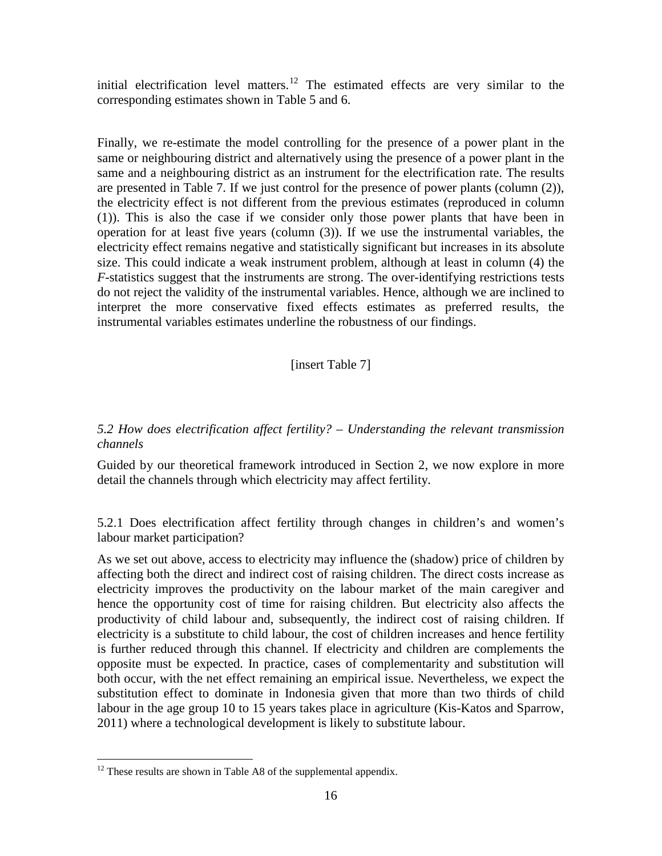initial electrification level matters.<sup>[12](#page-15-0)</sup> The estimated effects are very similar to the corresponding estimates shown in Table 5 and 6.

Finally, we re-estimate the model controlling for the presence of a power plant in the same or neighbouring district and alternatively using the presence of a power plant in the same and a neighbouring district as an instrument for the electrification rate. The results are presented in Table 7. If we just control for the presence of power plants (column (2)), the electricity effect is not different from the previous estimates (reproduced in column (1)). This is also the case if we consider only those power plants that have been in operation for at least five years (column (3)). If we use the instrumental variables, the electricity effect remains negative and statistically significant but increases in its absolute size. This could indicate a weak instrument problem, although at least in column (4) the *F*-statistics suggest that the instruments are strong. The over-identifying restrictions tests do not reject the validity of the instrumental variables. Hence, although we are inclined to interpret the more conservative fixed effects estimates as preferred results, the instrumental variables estimates underline the robustness of our findings.

# [insert Table 7]

# *5.2 How does electrification affect fertility? – Understanding the relevant transmission channels*

Guided by our theoretical framework introduced in Section 2, we now explore in more detail the channels through which electricity may affect fertility.

5.2.1 Does electrification affect fertility through changes in children's and women's labour market participation?

As we set out above, access to electricity may influence the (shadow) price of children by affecting both the direct and indirect cost of raising children. The direct costs increase as electricity improves the productivity on the labour market of the main caregiver and hence the opportunity cost of time for raising children. But electricity also affects the productivity of child labour and, subsequently, the indirect cost of raising children. If electricity is a substitute to child labour, the cost of children increases and hence fertility is further reduced through this channel. If electricity and children are complements the opposite must be expected. In practice, cases of complementarity and substitution will both occur, with the net effect remaining an empirical issue. Nevertheless, we expect the substitution effect to dominate in Indonesia given that more than two thirds of child labour in the age group 10 to 15 years takes place in agriculture (Kis-Katos and Sparrow, 2011) where a technological development is likely to substitute labour.

<span id="page-16-0"></span> $12$  These results are shown in Table A8 of the supplemental appendix.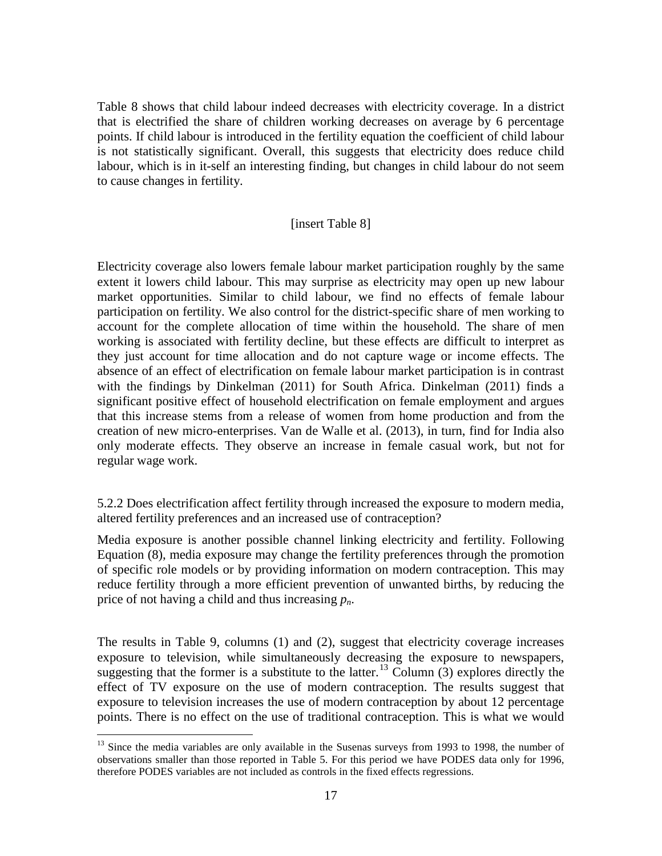Table 8 shows that child labour indeed decreases with electricity coverage. In a district that is electrified the share of children working decreases on average by 6 percentage points. If child labour is introduced in the fertility equation the coefficient of child labour is not statistically significant. Overall, this suggests that electricity does reduce child labour, which is in it-self an interesting finding, but changes in child labour do not seem to cause changes in fertility.

#### [insert Table 8]

Electricity coverage also lowers female labour market participation roughly by the same extent it lowers child labour. This may surprise as electricity may open up new labour market opportunities. Similar to child labour, we find no effects of female labour participation on fertility. We also control for the district-specific share of men working to account for the complete allocation of time within the household. The share of men working is associated with fertility decline, but these effects are difficult to interpret as they just account for time allocation and do not capture wage or income effects. The absence of an effect of electrification on female labour market participation is in contrast with the findings by Dinkelman (2011) for South Africa. Dinkelman (2011) finds a significant positive effect of household electrification on female employment and argues that this increase stems from a release of women from home production and from the creation of new micro-enterprises. Van de Walle et al. (2013), in turn, find for India also only moderate effects. They observe an increase in female casual work, but not for regular wage work.

5.2.2 Does electrification affect fertility through increased the exposure to modern media, altered fertility preferences and an increased use of contraception?

Media exposure is another possible channel linking electricity and fertility. Following Equation (8), media exposure may change the fertility preferences through the promotion of specific role models or by providing information on modern contraception. This may reduce fertility through a more efficient prevention of unwanted births, by reducing the price of not having a child and thus increasing *pn*.

The results in Table 9, columns (1) and (2), suggest that electricity coverage increases exposure to television, while simultaneously decreasing the exposure to newspapers, suggesting that the former is a substitute to the latter.<sup>[13](#page-16-0)</sup> Column  $(3)$  explores directly the effect of TV exposure on the use of modern contraception. The results suggest that exposure to television increases the use of modern contraception by about 12 percentage points. There is no effect on the use of traditional contraception. This is what we would

<span id="page-17-0"></span> $<sup>13</sup>$  Since the media variables are only available in the Susenas surveys from 1993 to 1998, the number of</sup> observations smaller than those reported in Table 5. For this period we have PODES data only for 1996, therefore PODES variables are not included as controls in the fixed effects regressions.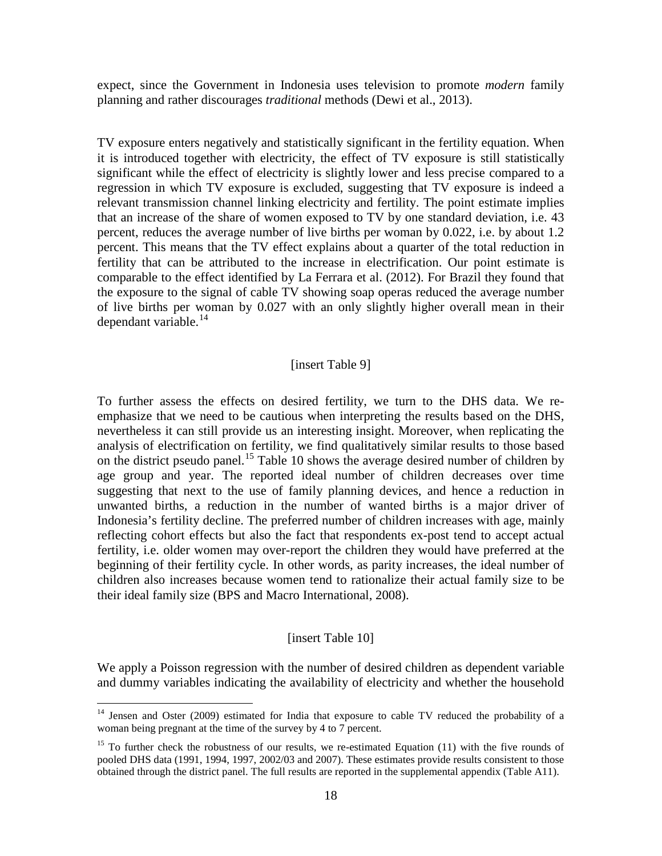expect, since the Government in Indonesia uses television to promote *modern* family planning and rather discourages *traditional* methods (Dewi et al., 2013).

TV exposure enters negatively and statistically significant in the fertility equation. When it is introduced together with electricity, the effect of TV exposure is still statistically significant while the effect of electricity is slightly lower and less precise compared to a regression in which TV exposure is excluded, suggesting that TV exposure is indeed a relevant transmission channel linking electricity and fertility. The point estimate implies that an increase of the share of women exposed to TV by one standard deviation, i.e. 43 percent, reduces the average number of live births per woman by 0.022, i.e. by about 1.2 percent. This means that the TV effect explains about a quarter of the total reduction in fertility that can be attributed to the increase in electrification. Our point estimate is comparable to the effect identified by La Ferrara et al. (2012). For Brazil they found that the exposure to the signal of cable TV showing soap operas reduced the average number of live births per woman by 0.027 with an only slightly higher overall mean in their dependant variable. $^{14}$  $^{14}$  $^{14}$ 

#### [insert Table 9]

To further assess the effects on desired fertility, we turn to the DHS data. We reemphasize that we need to be cautious when interpreting the results based on the DHS, nevertheless it can still provide us an interesting insight. Moreover, when replicating the analysis of electrification on fertility, we find qualitatively similar results to those based on the district pseudo panel.<sup>[15](#page-18-0)</sup> Table 10 shows the average desired number of children by age group and year. The reported ideal number of children decreases over time suggesting that next to the use of family planning devices, and hence a reduction in unwanted births, a reduction in the number of wanted births is a major driver of Indonesia's fertility decline. The preferred number of children increases with age, mainly reflecting cohort effects but also the fact that respondents ex-post tend to accept actual fertility, i.e. older women may over-report the children they would have preferred at the beginning of their fertility cycle. In other words, as parity increases, the ideal number of children also increases because women tend to rationalize their actual family size to be their ideal family size (BPS and Macro International, 2008).

#### [insert Table 10]

We apply a Poisson regression with the number of desired children as dependent variable and dummy variables indicating the availability of electricity and whether the household

 $14$  Jensen and Oster (2009) estimated for India that exposure to cable TV reduced the probability of a woman being pregnant at the time of the survey by 4 to 7 percent.

<span id="page-18-1"></span><span id="page-18-0"></span><sup>&</sup>lt;sup>15</sup> To further check the robustness of our results, we re-estimated Equation  $(11)$  with the five rounds of pooled DHS data (1991, 1994, 1997, 2002/03 and 2007). These estimates provide results consistent to those obtained through the district panel. The full results are reported in the supplemental appendix (Table A11).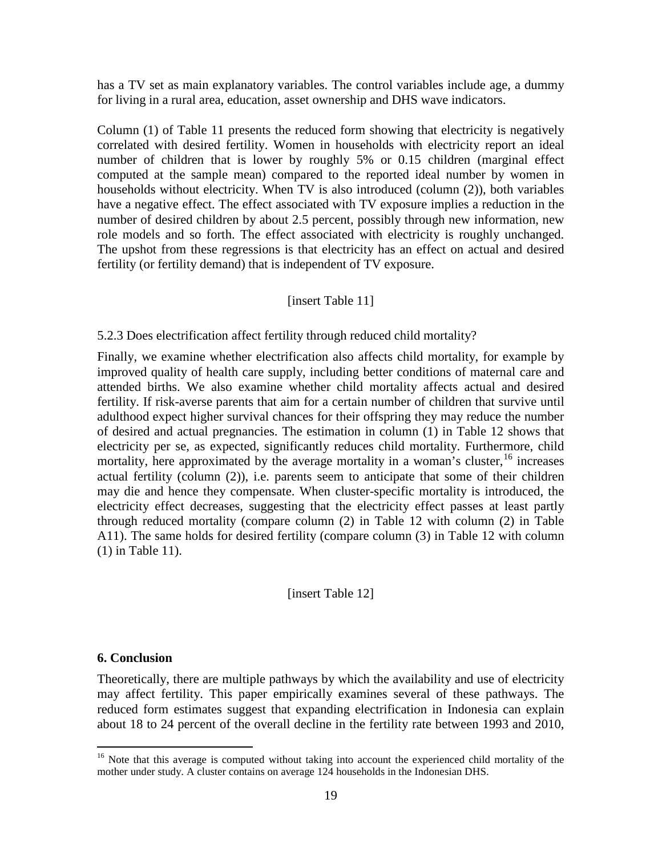has a TV set as main explanatory variables. The control variables include age, a dummy for living in a rural area, education, asset ownership and DHS wave indicators.

Column (1) of Table 11 presents the reduced form showing that electricity is negatively correlated with desired fertility. Women in households with electricity report an ideal number of children that is lower by roughly 5% or 0.15 children (marginal effect computed at the sample mean) compared to the reported ideal number by women in households without electricity. When TV is also introduced (column (2)), both variables have a negative effect. The effect associated with TV exposure implies a reduction in the number of desired children by about 2.5 percent, possibly through new information, new role models and so forth. The effect associated with electricity is roughly unchanged. The upshot from these regressions is that electricity has an effect on actual and desired fertility (or fertility demand) that is independent of TV exposure.

# [insert Table 11]

### 5.2.3 Does electrification affect fertility through reduced child mortality?

Finally, we examine whether electrification also affects child mortality, for example by improved quality of health care supply, including better conditions of maternal care and attended births. We also examine whether child mortality affects actual and desired fertility. If risk-averse parents that aim for a certain number of children that survive until adulthood expect higher survival chances for their offspring they may reduce the number of desired and actual pregnancies. The estimation in column (1) in Table 12 shows that electricity per se, as expected, significantly reduces child mortality. Furthermore, child mortality, here approximated by the average mortality in a woman's cluster,  $16$  increases actual fertility (column (2)), i.e. parents seem to anticipate that some of their children may die and hence they compensate. When cluster-specific mortality is introduced, the electricity effect decreases, suggesting that the electricity effect passes at least partly through reduced mortality (compare column (2) in Table 12 with column (2) in Table A11). The same holds for desired fertility (compare column (3) in Table 12 with column (1) in Table 11).

### [insert Table 12]

### **6. Conclusion**

Theoretically, there are multiple pathways by which the availability and use of electricity may affect fertility. This paper empirically examines several of these pathways. The reduced form estimates suggest that expanding electrification in Indonesia can explain about 18 to 24 percent of the overall decline in the fertility rate between 1993 and 2010,

<sup>&</sup>lt;sup>16</sup> Note that this average is computed without taking into account the experienced child mortality of the mother under study. A cluster contains on average 124 households in the Indonesian DHS.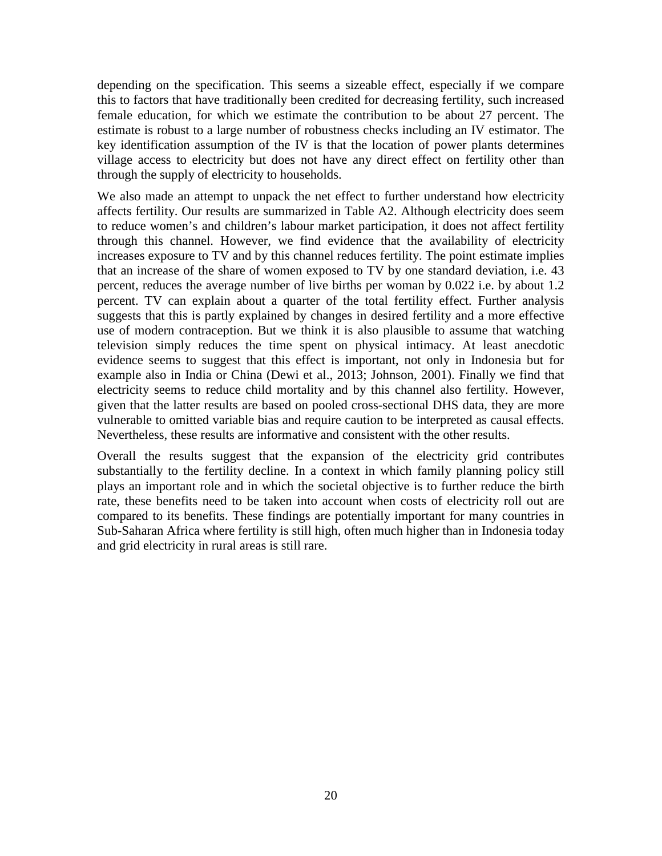depending on the specification. This seems a sizeable effect, especially if we compare this to factors that have traditionally been credited for decreasing fertility, such increased female education, for which we estimate the contribution to be about 27 percent. The estimate is robust to a large number of robustness checks including an IV estimator. The key identification assumption of the IV is that the location of power plants determines village access to electricity but does not have any direct effect on fertility other than through the supply of electricity to households.

We also made an attempt to unpack the net effect to further understand how electricity affects fertility. Our results are summarized in Table A2. Although electricity does seem to reduce women's and children's labour market participation, it does not affect fertility through this channel. However, we find evidence that the availability of electricity increases exposure to TV and by this channel reduces fertility. The point estimate implies that an increase of the share of women exposed to TV by one standard deviation, i.e. 43 percent, reduces the average number of live births per woman by 0.022 i.e. by about 1.2 percent. TV can explain about a quarter of the total fertility effect. Further analysis suggests that this is partly explained by changes in desired fertility and a more effective use of modern contraception. But we think it is also plausible to assume that watching television simply reduces the time spent on physical intimacy. At least anecdotic evidence seems to suggest that this effect is important, not only in Indonesia but for example also in India or China (Dewi et al., 2013; Johnson, 2001). Finally we find that electricity seems to reduce child mortality and by this channel also fertility. However, given that the latter results are based on pooled cross-sectional DHS data, they are more vulnerable to omitted variable bias and require caution to be interpreted as causal effects. Nevertheless, these results are informative and consistent with the other results.

Overall the results suggest that the expansion of the electricity grid contributes substantially to the fertility decline. In a context in which family planning policy still plays an important role and in which the societal objective is to further reduce the birth rate, these benefits need to be taken into account when costs of electricity roll out are compared to its benefits. These findings are potentially important for many countries in Sub-Saharan Africa where fertility is still high, often much higher than in Indonesia today and grid electricity in rural areas is still rare.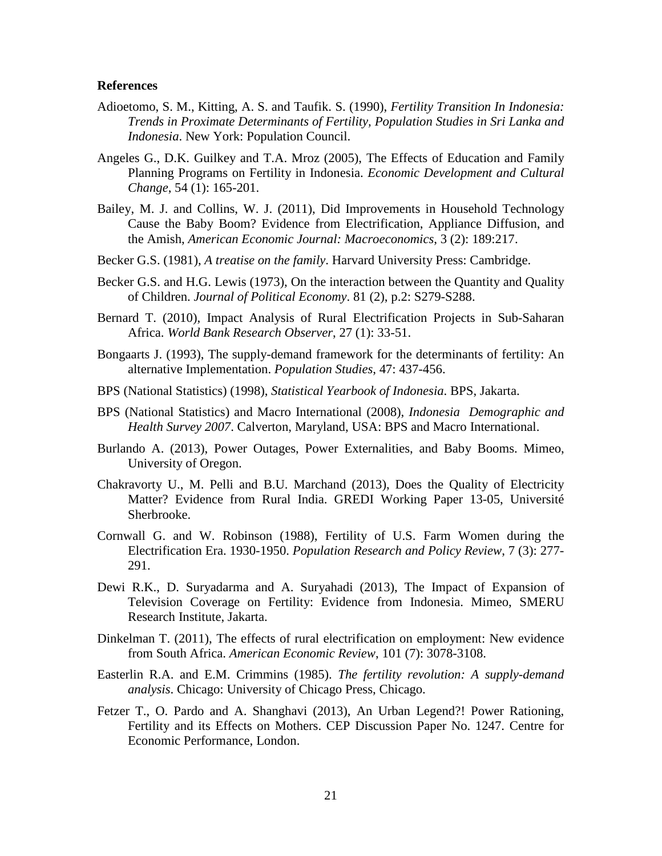#### **References**

- Adioetomo, S. M., Kitting, A. S. and Taufik. S. (1990), *Fertility Transition In Indonesia: Trends in Proximate Determinants of Fertility, Population Studies in Sri Lanka and Indonesia*. New York: Population Council.
- Angeles G., D.K. Guilkey and T.A. Mroz (2005), The Effects of Education and Family Planning Programs on Fertility in Indonesia. *Economic Development and Cultural Change*, 54 (1): 165-201.
- Bailey, M. J. and Collins, W. J. (2011), Did Improvements in Household Technology Cause the Baby Boom? Evidence from Electrification, Appliance Diffusion, and the Amish, *American Economic Journal: Macroeconomics*, 3 (2): 189:217.
- Becker G.S. (1981), *A treatise on the family*. Harvard University Press: Cambridge.
- Becker G.S. and H.G. Lewis (1973), On the interaction between the Quantity and Quality of Children. *Journal of Political Economy*. 81 (2), p.2: S279-S288.
- Bernard T. (2010), Impact Analysis of Rural Electrification Projects in Sub-Saharan Africa. *World Bank Research Observer*, 27 (1): 33-51.
- Bongaarts J. (1993), The supply-demand framework for the determinants of fertility: An alternative Implementation. *Population Studies*, 47: 437-456.
- BPS (National Statistics) (1998), *Statistical Yearbook of Indonesia*. BPS, Jakarta.
- BPS (National Statistics) and Macro International (2008), *Indonesia Demographic and Health Survey 2007*. Calverton, Maryland, USA: BPS and Macro International.
- Burlando A. (2013), Power Outages, Power Externalities, and Baby Booms. Mimeo, University of Oregon.
- Chakravorty U., M. Pelli and B.U. Marchand (2013), Does the Quality of Electricity Matter? Evidence from Rural India. GREDI Working Paper 13-05, Université Sherbrooke.
- Cornwall G. and W. Robinson (1988), Fertility of U.S. Farm Women during the Electrification Era. 1930-1950. *Population Research and Policy Review*, 7 (3): 277- 291.
- Dewi R.K., D. Suryadarma and A. Suryahadi (2013), The Impact of Expansion of Television Coverage on Fertility: Evidence from Indonesia. Mimeo, SMERU Research Institute, Jakarta.
- Dinkelman T. (2011), The effects of rural electrification on employment: New evidence from South Africa. *American Economic Review*, 101 (7): 3078-3108.
- Easterlin R.A. and E.M. Crimmins (1985). *The fertility revolution: A supply-demand analysis*. Chicago: University of Chicago Press, Chicago.
- Fetzer T., O. Pardo and A. Shanghavi (2013), An Urban Legend?! Power Rationing, Fertility and its Effects on Mothers. CEP Discussion Paper No. 1247. Centre for Economic Performance, London.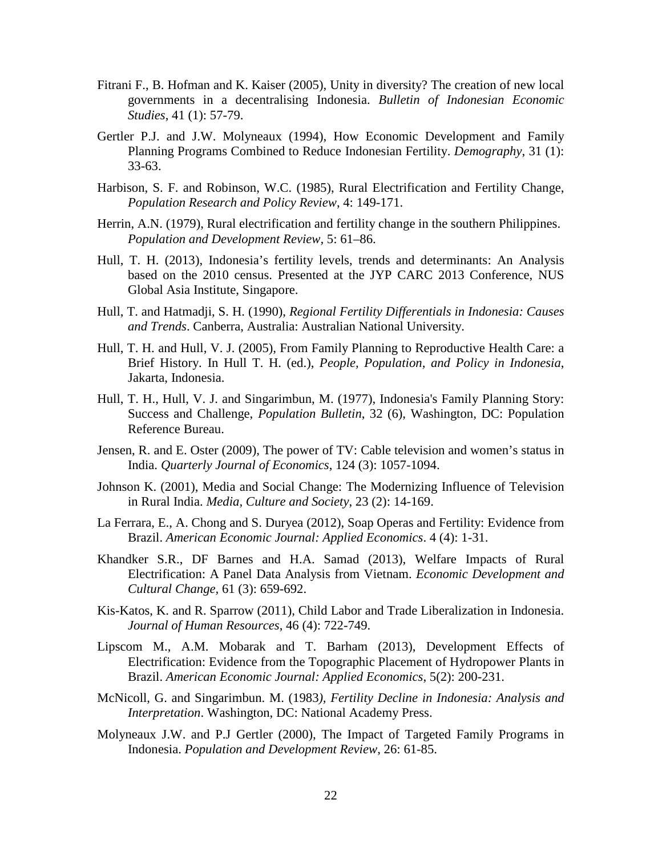- Fitrani F., B. Hofman and K. Kaiser (2005), [Unity in diversity? The creation of new local](http://ideas.repec.org/a/taf/bindes/v41y2005i1p57-79.html)  [governments in a decentralising Indonesia.](http://ideas.repec.org/a/taf/bindes/v41y2005i1p57-79.html) *[Bulletin of Indonesian Economic](http://ideas.repec.org/s/taf/bindes.html)  [Studies](http://ideas.repec.org/s/taf/bindes.html)*, 41 (1): 57-79.
- Gertler P.J. and J.W. Molyneaux (1994), How Economic Development and Family Planning Programs Combined to Reduce Indonesian Fertility. *Demography*, 31 (1): 33-63.
- Harbison, S. F. and Robinson, W.C. (1985), Rural Electrification and Fertility Change, *Population Research and Policy Review*, 4: 149-171.
- Herrin, A.N. (1979), Rural electrification and fertility change in the southern Philippines. *Population and Development Review,* 5: 61–86.
- Hull, T. H. (2013), Indonesia's fertility levels, trends and determinants: An Analysis based on the 2010 census. Presented at the JYP CARC 2013 Conference, NUS Global Asia Institute, Singapore.
- Hull, T. and Hatmadji, S. H. (1990), *Regional Fertility Differentials in Indonesia: Causes and Trends*. Canberra, Australia: Australian National University.
- Hull, T. H. and Hull, V. J. (2005), From Family Planning to Reproductive Health Care: a Brief History. In Hull T. H. (ed.), *People, Population, and Policy in Indonesia*, Jakarta, Indonesia.
- Hull, T. H., Hull, V. J. and Singarimbun, M. (1977), Indonesia's Family Planning Story: Success and Challenge, *Population Bulletin*, 32 (6), Washington, DC: Population Reference Bureau.
- Jensen, R. and E. Oster (2009), The power of TV: Cable television and women's status in India. *Quarterly Journal of Economics*, 124 (3): 1057-1094.
- Johnson K. (2001), Media and Social Change: The Modernizing Influence of Television in Rural India. *Media, Culture and Society*, 23 (2): 14-169.
- La Ferrara, E., A. Chong and S. Duryea (2012), Soap Operas and Fertility: Evidence from Brazil. *American Economic Journal: Applied Economics*. 4 (4): 1-31.
- Khandker S.R., DF Barnes and H.A. Samad (2013), Welfare Impacts of Rural Electrification: A Panel Data Analysis from Vietnam. *Economic Development and Cultural Change,* 61 (3): 659-692.
- Kis-Katos, K. and R. Sparrow (2011), Child Labor and Trade Liberalization in Indonesia. *Journal of Human Resources*, 46 (4): 722-749.
- Lipscom M., A.M. Mobarak and T. Barham (2013), Development Effects of Electrification: Evidence from the Topographic Placement of Hydropower Plants in Brazil. *American Economic Journal: Applied Economics*, 5(2): 200-231.
- McNicoll, G. and Singarimbun. M. (1983*), Fertility Decline in Indonesia: Analysis and Interpretation*. Washington, DC: National Academy Press.
- Molyneaux J.W. and P.J Gertler (2000), The Impact of Targeted Family Programs in Indonesia. *Population and Development Review*, 26: 61-85.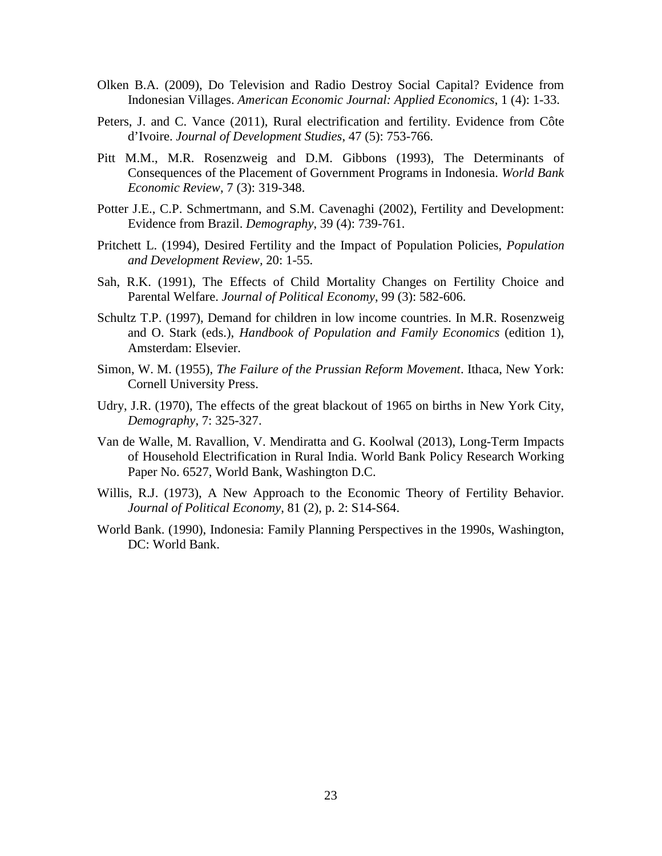- Olken B.A. (2009), Do Television and Radio Destroy Social Capital? Evidence from Indonesian Villages. *American Economic Journal: Applied Economics*, 1 (4): 1-33.
- Peters, J. and C. Vance (2011), Rural electrification and fertility. Evidence from Côte d'Ivoire. *Journal of Development Studies*, 47 (5): 753-766.
- Pitt M.M., M.R. Rosenzweig and D.M. Gibbons (1993), The Determinants of Consequences of the Placement of Government Programs in Indonesia. *World Bank Economic Review*, 7 (3): 319-348.
- Potter J.E., C.P. Schmertmann, and S.M. Cavenaghi (2002), Fertility and Development: Evidence from Brazil. *Demography*, 39 (4): 739-761.
- Pritchett L. (1994), Desired Fertility and the Impact of Population Policies, *Population and Development Review,* 20: 1-55.
- Sah, R.K. (1991), The Effects of Child Mortality Changes on Fertility Choice and Parental Welfare. *Journal of Political Economy*, 99 (3): 582-606.
- Schultz T.P. (1997), Demand for children in low income countries. In M.R. Rosenzweig and O. Stark (eds.), *Handbook of Population and Family Economics* (edition 1), Amsterdam: Elsevier.
- Simon, W. M. (1955), *The Failure of the Prussian Reform Movement*. Ithaca, New York: Cornell University Press.
- Udry, J.R. (1970), The effects of the great blackout of 1965 on births in New York City, *Demography*, 7: 325-327.
- Van de Walle, M. Ravallion, V. Mendiratta and G. Koolwal (2013), Long-Term Impacts of Household Electrification in Rural India. World Bank Policy Research Working Paper No. 6527, World Bank, Washington D.C.
- Willis, R.J. (1973), A New Approach to the Economic Theory of Fertility Behavior. *Journal of Political Economy*, 81 (2), p. 2: S14-S64.
- World Bank. (1990), Indonesia: Family Planning Perspectives in the 1990s, Washington, DC: World Bank.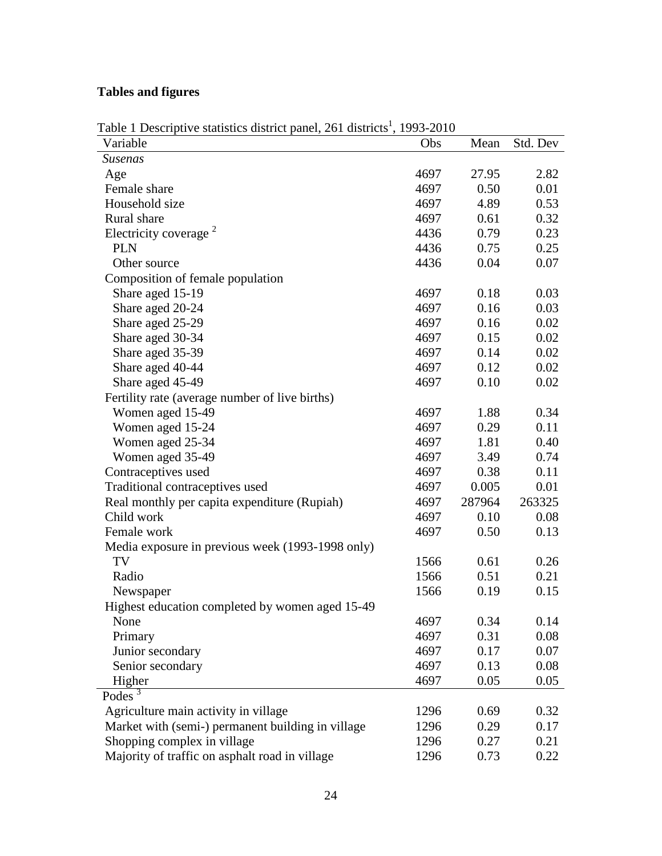# **Tables and figures**

| Variable                                          | Obs  | Mean   | Std. Dev |
|---------------------------------------------------|------|--------|----------|
| Susenas                                           |      |        |          |
| Age                                               | 4697 | 27.95  | 2.82     |
| Female share                                      | 4697 | 0.50   | 0.01     |
| Household size                                    | 4697 | 4.89   | 0.53     |
| Rural share                                       | 4697 | 0.61   | 0.32     |
| Electricity coverage <sup>2</sup>                 | 4436 | 0.79   | 0.23     |
| <b>PLN</b>                                        | 4436 | 0.75   | 0.25     |
| Other source                                      | 4436 | 0.04   | 0.07     |
| Composition of female population                  |      |        |          |
| Share aged 15-19                                  | 4697 | 0.18   | 0.03     |
| Share aged 20-24                                  | 4697 | 0.16   | 0.03     |
| Share aged 25-29                                  | 4697 | 0.16   | 0.02     |
| Share aged 30-34                                  | 4697 | 0.15   | 0.02     |
| Share aged 35-39                                  | 4697 | 0.14   | 0.02     |
| Share aged 40-44                                  | 4697 | 0.12   | 0.02     |
| Share aged 45-49                                  | 4697 | 0.10   | 0.02     |
| Fertility rate (average number of live births)    |      |        |          |
| Women aged 15-49                                  | 4697 | 1.88   | 0.34     |
| Women aged 15-24                                  | 4697 | 0.29   | 0.11     |
| Women aged 25-34                                  | 4697 | 1.81   | 0.40     |
| Women aged 35-49                                  | 4697 | 3.49   | 0.74     |
| Contraceptives used                               | 4697 | 0.38   | 0.11     |
| Traditional contraceptives used                   | 4697 | 0.005  | 0.01     |
| Real monthly per capita expenditure (Rupiah)      | 4697 | 287964 | 263325   |
| Child work                                        | 4697 | 0.10   | 0.08     |
| Female work                                       | 4697 | 0.50   | 0.13     |
| Media exposure in previous week (1993-1998 only)  |      |        |          |
| TV                                                | 1566 | 0.61   | 0.26     |
| Radio                                             | 1566 | 0.51   | 0.21     |
| Newspaper                                         | 1566 | 0.19   | 0.15     |
| Highest education completed by women aged 15-49   |      |        |          |
| None                                              | 4697 | 0.34   | 0.14     |
| Primary                                           | 4697 | 0.31   | 0.08     |
| Junior secondary                                  | 4697 | 0.17   | 0.07     |
| Senior secondary                                  | 4697 | 0.13   | 0.08     |
| Higher                                            | 4697 | 0.05   | 0.05     |
| Podes $3$                                         |      |        |          |
| Agriculture main activity in village              | 1296 | 0.69   | 0.32     |
| Market with (semi-) permanent building in village | 1296 | 0.29   | 0.17     |
| Shopping complex in village                       | 1296 | 0.27   | 0.21     |
| Majority of traffic on asphalt road in village    | 1296 | 0.73   | 0.22     |

# Table 1 Descriptive statistics district panel, 261 districts<sup>1</sup>, 1993-2010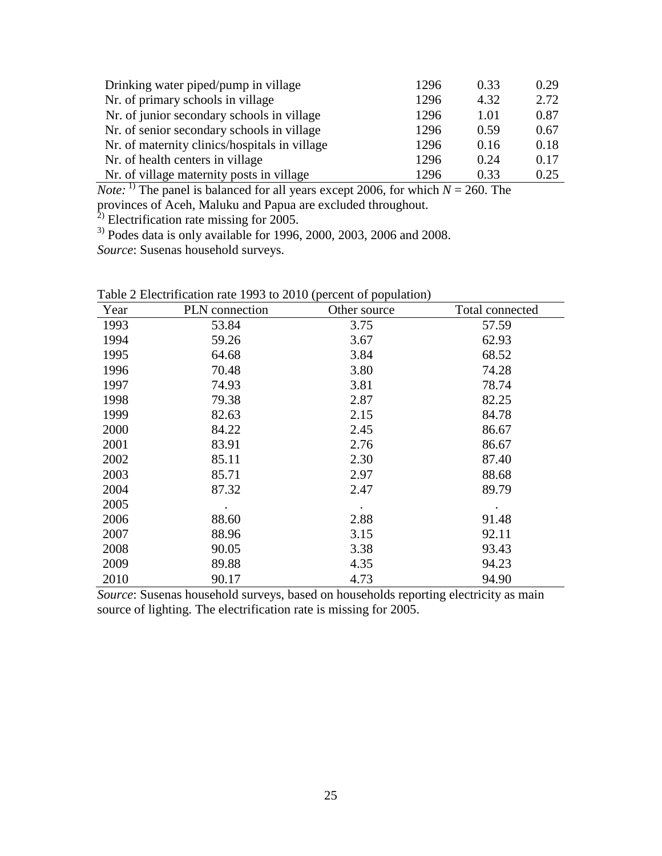| Drinking water piped/pump in village          | 1296 | 0.33 | 0.29 |
|-----------------------------------------------|------|------|------|
| Nr. of primary schools in village             | 1296 | 4.32 | 2.72 |
| Nr. of junior secondary schools in village    | 1296 | 1.01 | 0.87 |
| Nr. of senior secondary schools in village    | 1296 | 0.59 | 0.67 |
| Nr. of maternity clinics/hospitals in village | 1296 | 0.16 | 0.18 |
| Nr. of health centers in village              | 1296 | 0.24 | 0.17 |
| Nr. of village maternity posts in village     | 1296 | 0.33 | 0.25 |

*Note:* <sup>1)</sup> The panel is balanced for all years except 2006, for which  $N = 260$ . The provinces of Aceh, Maluku and Papua are excluded throughout.

 $^{2)}$  Electrification rate missing for 2005.

 $3)$  Podes data is only available for 1996, 2000, 2003, 2006 and 2008.

*Source*: Susenas household surveys.

| Year | $10111000 + 199000000000$<br>PLN connection | $\chi$<br>Other source | Total connected |
|------|---------------------------------------------|------------------------|-----------------|
| 1993 | 53.84                                       | 3.75                   | 57.59           |
| 1994 | 59.26                                       | 3.67                   | 62.93           |
| 1995 | 64.68                                       | 3.84                   | 68.52           |
| 1996 | 70.48                                       | 3.80                   | 74.28           |
| 1997 | 74.93                                       | 3.81                   | 78.74           |
| 1998 | 79.38                                       | 2.87                   | 82.25           |
| 1999 | 82.63                                       | 2.15                   | 84.78           |
| 2000 | 84.22                                       | 2.45                   | 86.67           |
| 2001 | 83.91                                       | 2.76                   | 86.67           |
| 2002 | 85.11                                       | 2.30                   | 87.40           |
| 2003 | 85.71                                       | 2.97                   | 88.68           |
| 2004 | 87.32                                       | 2.47                   | 89.79           |
| 2005 |                                             | $\bullet$              | $\bullet$       |
| 2006 | 88.60                                       | 2.88                   | 91.48           |
| 2007 | 88.96                                       | 3.15                   | 92.11           |
| 2008 | 90.05                                       | 3.38                   | 93.43           |
| 2009 | 89.88                                       | 4.35                   | 94.23           |
| 2010 | 90.17                                       | 4.73                   | 94.90           |

Table 2 Electrification rate 1993 to 2010 (percent of population)

*Source*: Susenas household surveys, based on households reporting electricity as main source of lighting. The electrification rate is missing for 2005.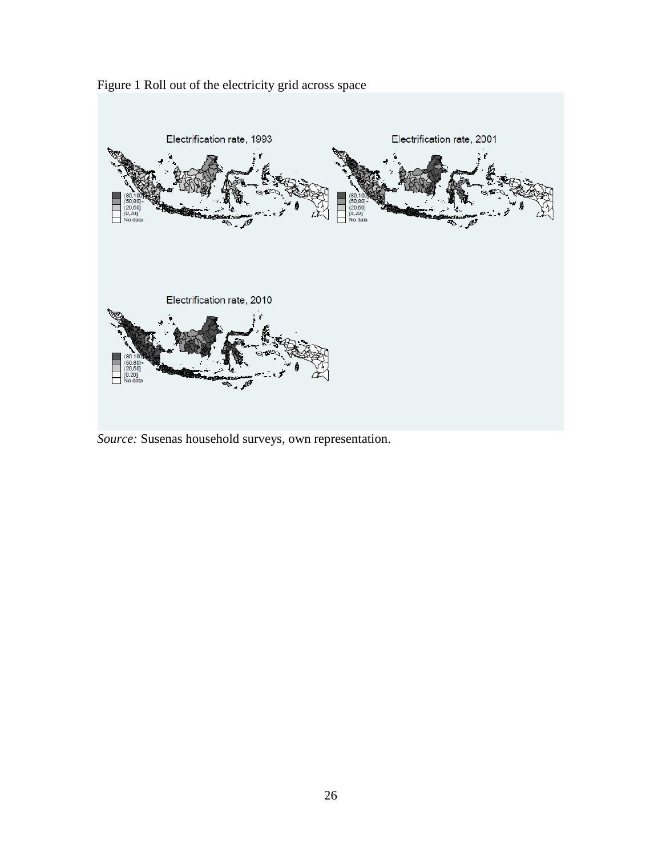

Figure 1 Roll out of the electricity grid across space

*Source:* Susenas household surveys, own representation.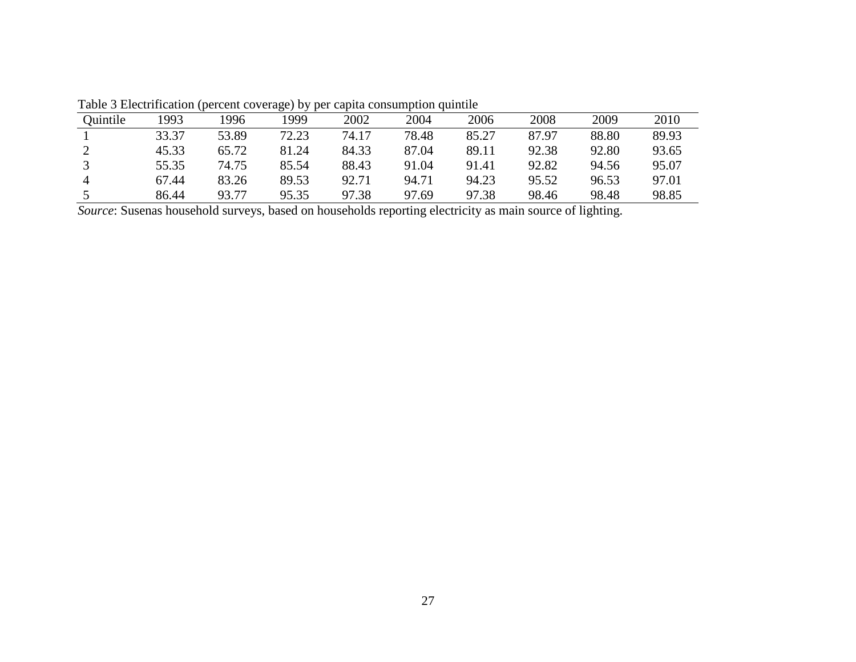|          | Tuolo o Encentricumon<br>.<br>$\sum_{i=1}^{n}$ |       |       |       |       |       |       |       |       |
|----------|------------------------------------------------|-------|-------|-------|-------|-------|-------|-------|-------|
| Ouintile | 1993                                           | '996  | 1999  | 2002  | 2004  | 2006  | 2008  | 2009  | 2010  |
|          | 33.37                                          | 53.89 | 72.23 | 74.17 | 78.48 | 85.27 | 87.97 | 88.80 | 89.93 |
|          | 45.33                                          | 65.72 | 81.24 | 84.33 | 87.04 | 89.11 | 92.38 | 92.80 | 93.65 |
|          | 55.35                                          | 74.75 | 85.54 | 88.43 | 91.04 | 91.41 | 92.82 | 94.56 | 95.07 |
|          | 67.44                                          | 83.26 | 89.53 | 92.71 | 94.71 | 94.23 | 95.52 | 96.53 | 97.01 |
|          | 86.44                                          | 93.77 | 95.35 | 97.38 | 97.69 | 97.38 | 98.46 | 98.48 | 98.85 |

Table 3 Electrification (percent coverage) by per capita consumption quintile

*Source*: Susenas household surveys, based on households reporting electricity as main source of lighting.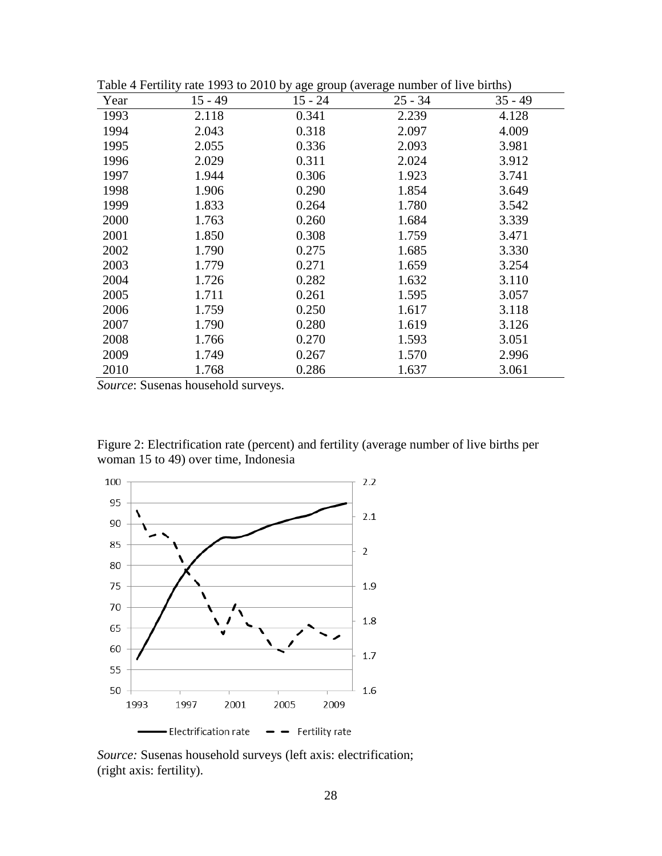| $15 - 49$<br>Year<br>$15 - 24$<br>$25 - 34$<br>$35 - 49$<br>1993<br>0.341<br>2.239<br>4.128<br>2.118<br>1994<br>0.318<br>2.097<br>4.009<br>2.043<br>1995<br>2.055<br>0.336<br>2.093<br>3.981<br>2.029<br>0.311<br>2.024<br>3.912<br>1996<br>0.306<br>1.923<br>1997<br>1.944<br>3.741<br>1998<br>0.290<br>1.854<br>1.906<br>3.649<br>1999<br>1.833<br>1.780<br>0.264<br>3.542<br>2000<br>1.763<br>0.260<br>1.684<br>3.339<br>2001<br>1.850<br>0.308<br>1.759<br>3.471<br>2002<br>3.330<br>1.790<br>0.275<br>1.685<br>2003<br>1.779<br>0.271<br>1.659<br>3.254<br>2004<br>0.282<br>1.726<br>1.632<br>3.110<br>2005<br>1.711<br>0.261<br>1.595<br>3.057<br>2006<br>0.250<br>1.617<br>3.118<br>1.759<br>0.280<br>2007<br>1.790<br>1.619<br>3.126<br>2008<br>1.593<br>1.766<br>0.270<br>3.051<br>2009<br>0.267<br>1.570<br>1.749<br>2.996<br>2010<br>1.768<br>0.286<br>1.637<br>3.061 |  | Table + I clumly fail 1999 to 2010 by age group (average humber of five bifully) |  |
|----------------------------------------------------------------------------------------------------------------------------------------------------------------------------------------------------------------------------------------------------------------------------------------------------------------------------------------------------------------------------------------------------------------------------------------------------------------------------------------------------------------------------------------------------------------------------------------------------------------------------------------------------------------------------------------------------------------------------------------------------------------------------------------------------------------------------------------------------------------------------------|--|----------------------------------------------------------------------------------|--|
|                                                                                                                                                                                                                                                                                                                                                                                                                                                                                                                                                                                                                                                                                                                                                                                                                                                                                  |  |                                                                                  |  |
|                                                                                                                                                                                                                                                                                                                                                                                                                                                                                                                                                                                                                                                                                                                                                                                                                                                                                  |  |                                                                                  |  |
|                                                                                                                                                                                                                                                                                                                                                                                                                                                                                                                                                                                                                                                                                                                                                                                                                                                                                  |  |                                                                                  |  |
|                                                                                                                                                                                                                                                                                                                                                                                                                                                                                                                                                                                                                                                                                                                                                                                                                                                                                  |  |                                                                                  |  |
|                                                                                                                                                                                                                                                                                                                                                                                                                                                                                                                                                                                                                                                                                                                                                                                                                                                                                  |  |                                                                                  |  |
|                                                                                                                                                                                                                                                                                                                                                                                                                                                                                                                                                                                                                                                                                                                                                                                                                                                                                  |  |                                                                                  |  |
|                                                                                                                                                                                                                                                                                                                                                                                                                                                                                                                                                                                                                                                                                                                                                                                                                                                                                  |  |                                                                                  |  |
|                                                                                                                                                                                                                                                                                                                                                                                                                                                                                                                                                                                                                                                                                                                                                                                                                                                                                  |  |                                                                                  |  |
|                                                                                                                                                                                                                                                                                                                                                                                                                                                                                                                                                                                                                                                                                                                                                                                                                                                                                  |  |                                                                                  |  |
|                                                                                                                                                                                                                                                                                                                                                                                                                                                                                                                                                                                                                                                                                                                                                                                                                                                                                  |  |                                                                                  |  |
|                                                                                                                                                                                                                                                                                                                                                                                                                                                                                                                                                                                                                                                                                                                                                                                                                                                                                  |  |                                                                                  |  |
|                                                                                                                                                                                                                                                                                                                                                                                                                                                                                                                                                                                                                                                                                                                                                                                                                                                                                  |  |                                                                                  |  |
|                                                                                                                                                                                                                                                                                                                                                                                                                                                                                                                                                                                                                                                                                                                                                                                                                                                                                  |  |                                                                                  |  |
|                                                                                                                                                                                                                                                                                                                                                                                                                                                                                                                                                                                                                                                                                                                                                                                                                                                                                  |  |                                                                                  |  |
|                                                                                                                                                                                                                                                                                                                                                                                                                                                                                                                                                                                                                                                                                                                                                                                                                                                                                  |  |                                                                                  |  |
|                                                                                                                                                                                                                                                                                                                                                                                                                                                                                                                                                                                                                                                                                                                                                                                                                                                                                  |  |                                                                                  |  |
|                                                                                                                                                                                                                                                                                                                                                                                                                                                                                                                                                                                                                                                                                                                                                                                                                                                                                  |  |                                                                                  |  |
|                                                                                                                                                                                                                                                                                                                                                                                                                                                                                                                                                                                                                                                                                                                                                                                                                                                                                  |  |                                                                                  |  |
|                                                                                                                                                                                                                                                                                                                                                                                                                                                                                                                                                                                                                                                                                                                                                                                                                                                                                  |  |                                                                                  |  |

Table 4 Fertility rate 1993 to 2010 by age group (average number of live births)

*Source*: Susenas household surveys.

Figure 2: Electrification rate (percent) and fertility (average number of live births per woman 15 to 49) over time, Indonesia



*Source:* Susenas household surveys (left axis: electrification; (right axis: fertility).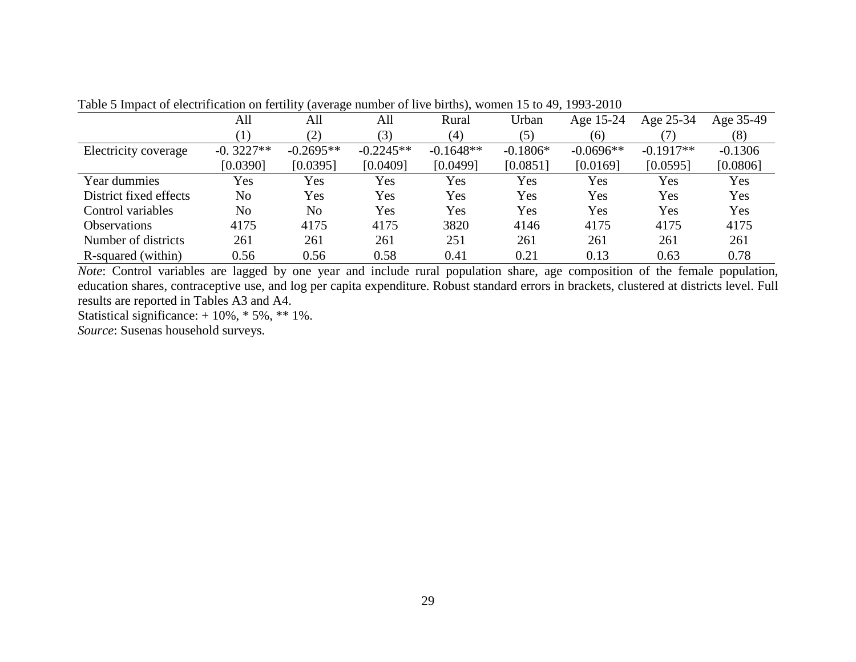|                        | All         | All         | All         | Rural       | Urban      | Age 15-24   | Age 25-34   | Age 35-49 |
|------------------------|-------------|-------------|-------------|-------------|------------|-------------|-------------|-----------|
|                        |             | (2)         | (3)         | (4)         | (5)        | (6)         |             | (8)       |
| Electricity coverage   | $-0.3227**$ | $-0.2695**$ | $-0.2245**$ | $-0.1648**$ | $-0.1806*$ | $-0.0696**$ | $-0.1917**$ | $-0.1306$ |
|                        | [0.0390]    | [0.0395]    | [0.0409]    | [0.0499]    | [0.0851]   | [0.0169]    | [0.0595]    | [0.0806]  |
| Year dummies           | Yes         | Yes         | Yes         | Yes         | Yes        | Yes         | Yes         | Yes       |
| District fixed effects | No          | Yes         | Yes         | Yes         | Yes        | Yes         | Yes         | Yes       |
| Control variables      | No          | No          | Yes         | Yes         | Yes        | Yes         | Yes         | Yes       |
| <b>Observations</b>    | 4175        | 4175        | 4175        | 3820        | 4146       | 4175        | 4175        | 4175      |
| Number of districts    | 261         | 261         | 261         | 251         | 261        | 261         | 261         | 261       |
| R-squared (within)     | 0.56        | 0.56        | 0.58        | 0.41        | 0.21       | 0.13        | 0.63        | 0.78      |

Table 5 Impact of electrification on fertility (average number of live births), women 15 to 49, 1993-2010

*Note*: Control variables are lagged by one year and include rural population share, age composition of the female population, education shares, contraceptive use, and log per capita expenditure. Robust standard errors in brackets, clustered at districts level. Full results are reported in Tables A3 and A4.

Statistical significance:  $+10\%$ ,  $*5\%$ ,  $**1\%$ .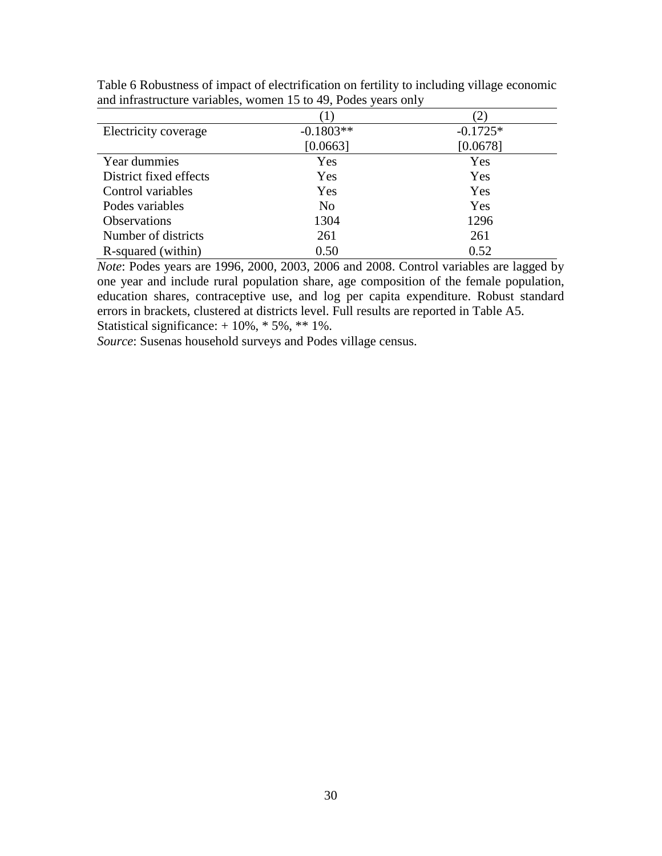| Electricity coverage   | $-0.1803**$ | $-0.1725*$ |
|------------------------|-------------|------------|
|                        | [0.0663]    | [0.0678]   |
| Year dummies           | Yes         | Yes        |
| District fixed effects | Yes         | Yes        |
| Control variables      | Yes         | Yes        |
| Podes variables        | No          | Yes        |
| <b>Observations</b>    | 1304        | 1296       |
| Number of districts    | 261         | 261        |
| R-squared (within)     | 0.50        | 0.52       |

Table 6 Robustness of impact of electrification on fertility to including village economic and infrastructure variables, women 15 to 49, Podes years only

*Note*: Podes years are 1996, 2000, 2003, 2006 and 2008. Control variables are lagged by one year and include rural population share, age composition of the female population, education shares, contraceptive use, and log per capita expenditure. Robust standard errors in brackets, clustered at districts level. Full results are reported in Table A5. Statistical significance: + 10%, \* 5%, \*\* 1%.

*Source*: Susenas household surveys and Podes village census.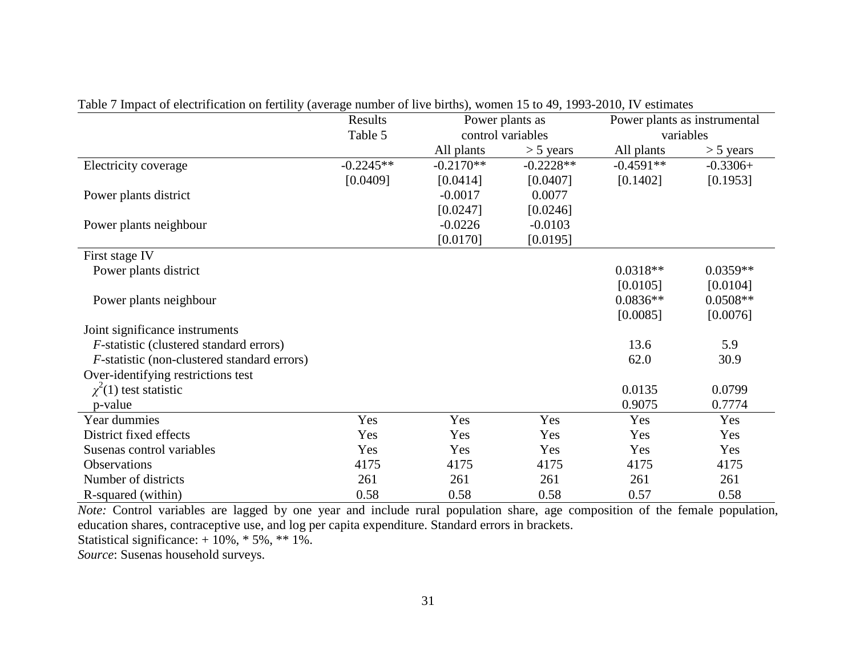|                                                     | Results     |             | Power plants as   | Power plants as instrumental |             |
|-----------------------------------------------------|-------------|-------------|-------------------|------------------------------|-------------|
|                                                     | Table 5     |             | control variables |                              | variables   |
|                                                     |             | All plants  | $> 5$ years       | All plants                   | $> 5$ years |
| Electricity coverage                                | $-0.2245**$ | $-0.2170**$ | $-0.2228**$       | $-0.4591**$                  | $-0.3306+$  |
|                                                     | [0.0409]    | [0.0414]    | [0.0407]          | [0.1402]                     | [0.1953]    |
| Power plants district                               |             | $-0.0017$   | 0.0077            |                              |             |
|                                                     |             | [0.0247]    | [0.0246]          |                              |             |
| Power plants neighbour                              |             | $-0.0226$   | $-0.0103$         |                              |             |
|                                                     |             | [0.0170]    | [0.0195]          |                              |             |
| First stage IV                                      |             |             |                   |                              |             |
| Power plants district                               |             |             |                   | $0.0318**$                   | $0.0359**$  |
|                                                     |             |             |                   | [0.0105]                     | [0.0104]    |
| Power plants neighbour                              |             |             |                   | $0.0836**$                   | $0.0508**$  |
|                                                     |             |             |                   | [0.0085]                     | [0.0076]    |
| Joint significance instruments                      |             |             |                   |                              |             |
| <i>F</i> -statistic (clustered standard errors)     |             |             |                   | 13.6                         | 5.9         |
| <i>F</i> -statistic (non-clustered standard errors) |             |             |                   | 62.0                         | 30.9        |
| Over-identifying restrictions test                  |             |             |                   |                              |             |
| $\chi^2(1)$ test statistic                          |             |             |                   | 0.0135                       | 0.0799      |
| p-value                                             |             |             |                   | 0.9075                       | 0.7774      |
| Year dummies                                        | Yes         | Yes         | Yes               | Yes                          | Yes         |
| District fixed effects                              | Yes         | Yes         | Yes               | Yes                          | Yes         |
| Susenas control variables                           | Yes         | Yes         | Yes               | Yes                          | Yes         |
| Observations                                        | 4175        | 4175        | 4175              | 4175                         | 4175        |
| Number of districts                                 | 261         | 261         | 261               | 261                          | 261         |
| R-squared (within)                                  | 0.58        | 0.58        | 0.58              | 0.57                         | 0.58        |

Table 7 Impact of electrification on fertility (average number of live births), women 15 to 49, 1993-2010, IV estimates

*Note:* Control variables are lagged by one year and include rural population share, age composition of the female population, education shares, contraceptive use, and log per capita expenditure. Standard errors in brackets.

Statistical significance:  $+10\%$ ,  $*5\%$ ,  $**1\%$ .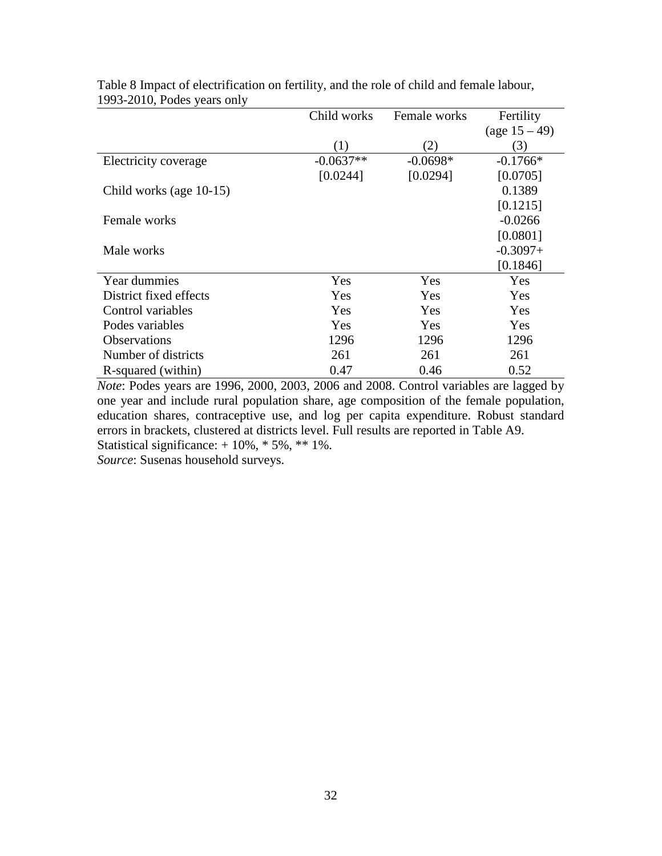|                         | Child works | Female works | Fertility        |
|-------------------------|-------------|--------------|------------------|
|                         |             |              | (age $15 - 49$ ) |
|                         | (1)         | (2)          | (3)              |
| Electricity coverage    | $-0.0637**$ | $-0.0698*$   | $-0.1766*$       |
|                         | [0.0244]    | [0.0294]     | [0.0705]         |
| Child works (age 10-15) |             |              | 0.1389           |
|                         |             |              | [0.1215]         |
| Female works            |             |              | $-0.0266$        |
|                         |             |              | [0.0801]         |
| Male works              |             |              | $-0.3097+$       |
|                         |             |              | [0.1846]         |
| Year dummies            | Yes         | Yes          | Yes              |
| District fixed effects  | Yes         | Yes          | Yes              |
| Control variables       | Yes         | Yes          | Yes              |
| Podes variables         | Yes         | Yes          | Yes              |
| <b>Observations</b>     | 1296        | 1296         | 1296             |
| Number of districts     | 261         | 261          | 261              |
| R-squared (within)      | 0.47        | 0.46         | 0.52             |

Table 8 Impact of electrification on fertility, and the role of child and female labour, 1993-2010, Podes years only

*Note*: Podes years are 1996, 2000, 2003, 2006 and 2008. Control variables are lagged by one year and include rural population share, age composition of the female population, education shares, contraceptive use, and log per capita expenditure. Robust standard errors in brackets, clustered at districts level. Full results are reported in Table A9. Statistical significance:  $+10\%$ ,  $*5\%$ ,  $**1\%$ .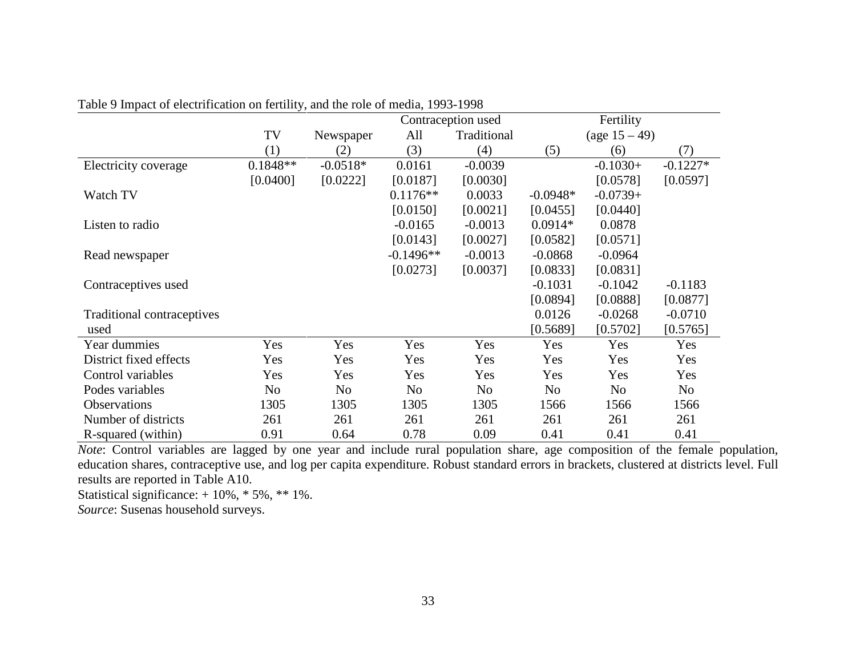|                            |            |            |                | Contraception used |                | Fertility        |            |
|----------------------------|------------|------------|----------------|--------------------|----------------|------------------|------------|
|                            | TV         | Newspaper  | All            | Traditional        |                | (age $15 - 49$ ) |            |
|                            | (1)        | (2)        | (3)            | (4)                | (5)            | (6)              | (7)        |
| Electricity coverage       | $0.1848**$ | $-0.0518*$ | 0.0161         | $-0.0039$          |                | $-0.1030+$       | $-0.1227*$ |
|                            | [0.0400]   | [0.0222]   | [0.0187]       | [0.0030]           |                | [0.0578]         | [0.0597]   |
| Watch TV                   |            |            | $0.1176**$     | 0.0033             | $-0.0948*$     | $-0.0739+$       |            |
|                            |            |            | [0.0150]       | [0.0021]           | [0.0455]       | [0.0440]         |            |
| Listen to radio            |            |            | $-0.0165$      | $-0.0013$          | $0.0914*$      | 0.0878           |            |
|                            |            |            | [0.0143]       | [0.0027]           | [0.0582]       | [0.0571]         |            |
| Read newspaper             |            |            | $-0.1496**$    | $-0.0013$          | $-0.0868$      | $-0.0964$        |            |
|                            |            |            | [0.0273]       | [0.0037]           | [0.0833]       | [0.0831]         |            |
| Contraceptives used        |            |            |                |                    | $-0.1031$      | $-0.1042$        | $-0.1183$  |
|                            |            |            |                |                    | [0.0894]       | [0.0888]         | [0.0877]   |
| Traditional contraceptives |            |            |                |                    | 0.0126         | $-0.0268$        | $-0.0710$  |
| used                       |            |            |                |                    | [0.5689]       | [0.5702]         | [0.5765]   |
| Year dummies               | Yes        | Yes        | Yes            | Yes                | Yes            | Yes              | Yes        |
| District fixed effects     | Yes        | Yes        | Yes            | Yes                | Yes            | Yes              | Yes        |
| Control variables          | Yes        | Yes        | Yes            | Yes                | Yes            | Yes              | Yes        |
| Podes variables            | No         | No         | N <sub>o</sub> | N <sub>o</sub>     | N <sub>o</sub> | No               | No         |
| <b>Observations</b>        | 1305       | 1305       | 1305           | 1305               | 1566           | 1566             | 1566       |
| Number of districts        | 261        | 261        | 261            | 261                | 261            | 261              | 261        |
| R-squared (within)         | 0.91       | 0.64       | 0.78           | 0.09               | 0.41           | 0.41             | 0.41       |

Table 9 Impact of electrification on fertility, and the role of media, 1993-1998

*Note*: Control variables are lagged by one year and include rural population share, age composition of the female population, education shares, contraceptive use, and log per capita expenditure. Robust standard errors in brackets, clustered at districts level. Full results are reported in Table A10.

Statistical significance: + 10%, \* 5%, \*\* 1%.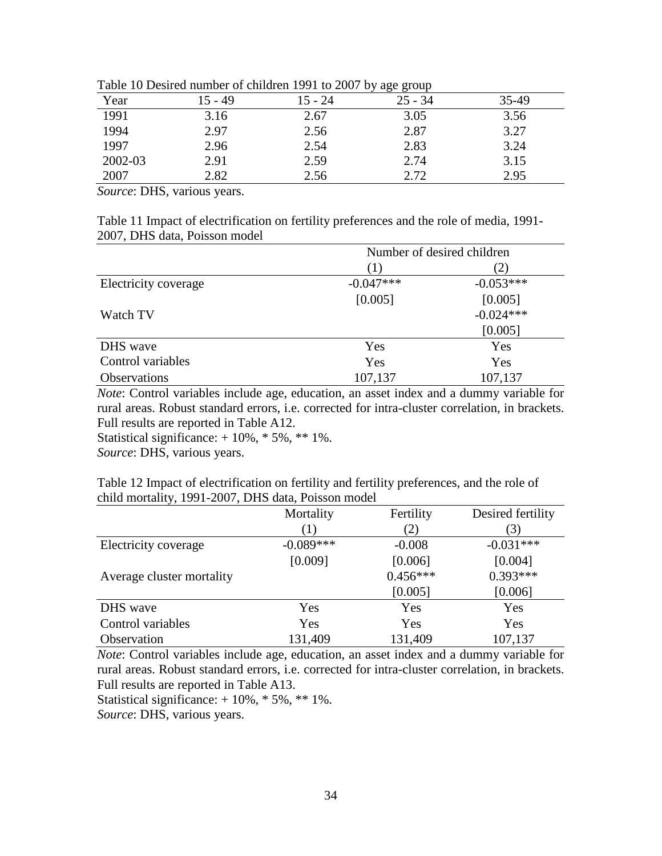|         | 707 OF 75 |           |           |       |  |  |  |
|---------|-----------|-----------|-----------|-------|--|--|--|
| Year    | 15 - 49   | $15 - 24$ | $25 - 34$ | 35-49 |  |  |  |
| 1991    | 3.16      | 2.67      | 3.05      | 3.56  |  |  |  |
| 1994    | 2.97      | 2.56      | 2.87      | 3.27  |  |  |  |
| 1997    | 2.96      | 2.54      | 2.83      | 3.24  |  |  |  |
| 2002-03 | 2.91      | 2.59      | 2.74      | 3.15  |  |  |  |
| 2007    | 2.82      | 2.56      | 2.72      | 2.95  |  |  |  |

Table 10 Desired number of children 1991 to 2007 by age group

*Source*: DHS, various years.

Table 11 Impact of electrification on fertility preferences and the role of media, 1991- 2007, DHS data, Poisson model

|                      |             | Number of desired children |
|----------------------|-------------|----------------------------|
|                      | (1)         | 2)                         |
| Electricity coverage | $-0.047***$ | $-0.053***$                |
|                      | [0.005]     | [0.005]                    |
| Watch TV             |             | $-0.024***$                |
|                      |             | [0.005]                    |
| DHS wave             | Yes         | Yes                        |
| Control variables    | Yes         | Yes                        |
| Observations         | 107,137     | 107,137                    |

*Note*: Control variables include age, education, an asset index and a dummy variable for rural areas. Robust standard errors, i.e. corrected for intra-cluster correlation, in brackets. Full results are reported in Table A12.

Statistical significance:  $+10\%$ ,  $*5\%$ ,  $**1\%$ .

*Source*: DHS, various years.

Table 12 Impact of electrification on fertility and fertility preferences, and the role of child mortality, 1991-2007, DHS data, Poisson model

|                           | Mortality        | Fertility  | Desired fertility |
|---------------------------|------------------|------------|-------------------|
|                           | $\left(1\right)$ | (2)        | 3)                |
| Electricity coverage      | $-0.089***$      | $-0.008$   | $-0.031***$       |
|                           | [0.009]          | [0.006]    | [0.004]           |
| Average cluster mortality |                  | $0.456***$ | $0.393***$        |
|                           |                  | [0.005]    | [0.006]           |
| DHS wave                  | Yes              | Yes        | Yes               |
| Control variables         | Yes              | Yes        | Yes               |
| Observation               | 131,409          | 131,409    | 107,137           |

*Note*: Control variables include age, education, an asset index and a dummy variable for rural areas. Robust standard errors, i.e. corrected for intra-cluster correlation, in brackets. Full results are reported in Table A13.

Statistical significance:  $+10\%$ ,  $*5\%$ ,  $**1\%$ .

*Source*: DHS, various years.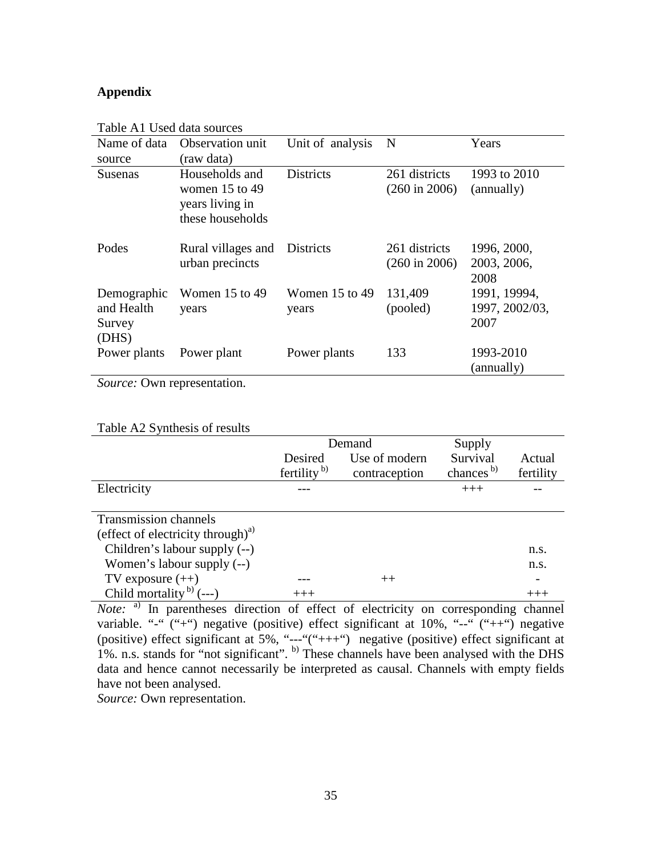# **Appendix**

| Name of data                                 | Observation unit                                                            | Unit of analysis            | N                                         | Years                                  |
|----------------------------------------------|-----------------------------------------------------------------------------|-----------------------------|-------------------------------------------|----------------------------------------|
| source                                       | (raw data)                                                                  |                             |                                           |                                        |
| <b>Susenas</b>                               | Households and<br>women $15$ to $49$<br>years living in<br>these households | <b>Districts</b>            | 261 districts<br>$(260 \text{ in } 2006)$ | 1993 to 2010<br>(annually)             |
| Podes                                        | Rural villages and<br>urban precincts                                       | Districts                   | 261 districts<br>$(260 \text{ in } 2006)$ | 1996, 2000,<br>2003, 2006,<br>2008     |
| Demographic<br>and Health<br>Survey<br>(DHS) | Women $15$ to $49$<br>years                                                 | Women $15$ to $49$<br>years | 131,409<br>(pooled)                       | 1991, 19994,<br>1997, 2002/03,<br>2007 |
| Power plants                                 | Power plant                                                                 | Power plants                | 133                                       | 1993-2010<br>(annually)                |

Table A1 Used data sources

*Source:* Own representation.

### Table A2 Synthesis of results

|                                               |                         | Demand        | Supply                |           |
|-----------------------------------------------|-------------------------|---------------|-----------------------|-----------|
|                                               | Desired                 | Use of modern | Survival              | Actual    |
|                                               | fertility <sup>b)</sup> | contraception | chances <sup>b)</sup> | fertility |
| Electricity                                   |                         |               | $+++$                 |           |
|                                               |                         |               |                       |           |
| Transmission channels                         |                         |               |                       |           |
| (effect of electricity through) <sup>a)</sup> |                         |               |                       |           |
| Children's labour supply (--)                 |                         |               |                       | n.s.      |
| Women's labour supply $(-)$                   |                         |               |                       | n.s.      |
| TV exposure $(++)$                            |                         | $++$          |                       |           |
| Child mortality <sup>b</sup> $(--)$           | $+++$                   |               |                       |           |

*Note:* <sup>a)</sup> In parentheses direction of effect of electricity on corresponding channel variable. "-" ("+") negative (positive) effect significant at 10%, "--" ("++") negative (positive) effect significant at 5%, "---"("+++") negative (positive) effect significant at 1%. n.s. stands for "not significant". b) These channels have been analysed with the DHS data and hence cannot necessarily be interpreted as causal. Channels with empty fields have not been analysed.

*Source:* Own representation.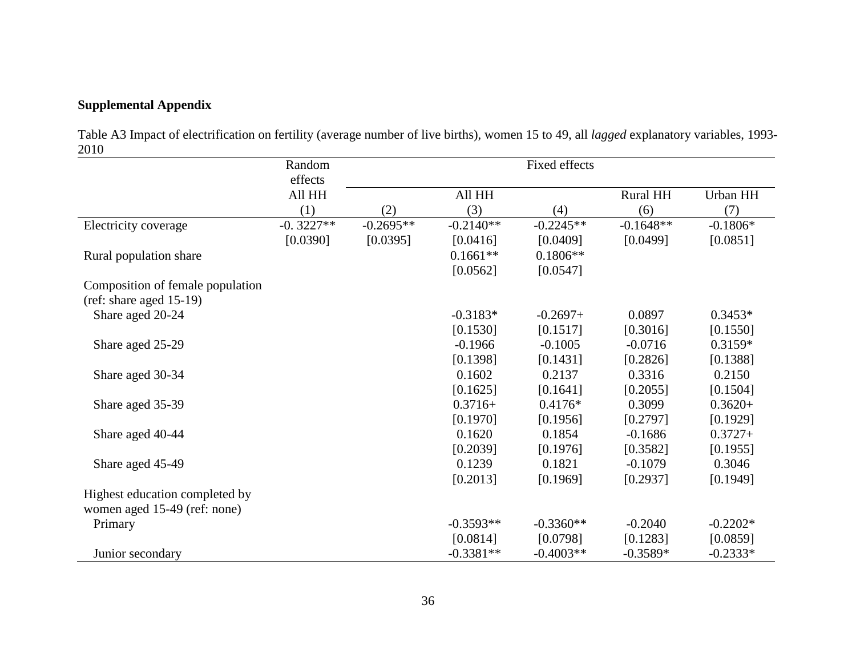# **Supplemental Appendix**

Table A3 Impact of electrification on fertility (average number of live births), women 15 to 49, all *lagged* explanatory variables, 1993- 2010

|                                  | Random      |             |             | Fixed effects |                 |            |
|----------------------------------|-------------|-------------|-------------|---------------|-----------------|------------|
|                                  | effects     |             |             |               |                 |            |
|                                  | All HH      |             | All HH      |               | <b>Rural HH</b> | Urban HH   |
|                                  | (1)         | (2)         | (3)         | (4)           | (6)             | (7)        |
| Electricity coverage             | $-0.3227**$ | $-0.2695**$ | $-0.2140**$ | $-0.2245**$   | $-0.1648**$     | $-0.1806*$ |
|                                  | [0.0390]    | [0.0395]    | [0.0416]    | [0.0409]      | [0.0499]        | [0.0851]   |
| Rural population share           |             |             | $0.1661**$  | $0.1806**$    |                 |            |
|                                  |             |             | [0.0562]    | [0.0547]      |                 |            |
| Composition of female population |             |             |             |               |                 |            |
| $(ref: share aged 15-19)$        |             |             |             |               |                 |            |
| Share aged 20-24                 |             |             | $-0.3183*$  | $-0.2697+$    | 0.0897          | $0.3453*$  |
|                                  |             |             | [0.1530]    | [0.1517]      | [0.3016]        | [0.1550]   |
| Share aged 25-29                 |             |             | $-0.1966$   | $-0.1005$     | $-0.0716$       | $0.3159*$  |
|                                  |             |             | [0.1398]    | [0.1431]      | [0.2826]        | [0.1388]   |
| Share aged 30-34                 |             |             | 0.1602      | 0.2137        | 0.3316          | 0.2150     |
|                                  |             |             | [0.1625]    | [0.1641]      | [0.2055]        | [0.1504]   |
| Share aged 35-39                 |             |             | $0.3716+$   | $0.4176*$     | 0.3099          | $0.3620+$  |
|                                  |             |             | [0.1970]    | [0.1956]      | [0.2797]        | [0.1929]   |
| Share aged 40-44                 |             |             | 0.1620      | 0.1854        | $-0.1686$       | $0.3727+$  |
|                                  |             |             | [0.2039]    | [0.1976]      | [0.3582]        | [0.1955]   |
| Share aged 45-49                 |             |             | 0.1239      | 0.1821        | $-0.1079$       | 0.3046     |
|                                  |             |             | [0.2013]    | [0.1969]      | [0.2937]        | [0.1949]   |
| Highest education completed by   |             |             |             |               |                 |            |
| women aged 15-49 (ref: none)     |             |             |             |               |                 |            |
| Primary                          |             |             | $-0.3593**$ | $-0.3360**$   | $-0.2040$       | $-0.2202*$ |
|                                  |             |             | [0.0814]    | [0.0798]      | [0.1283]        | [0.0859]   |
| Junior secondary                 |             |             | $-0.3381**$ | $-0.4003**$   | $-0.3589*$      | $-0.2333*$ |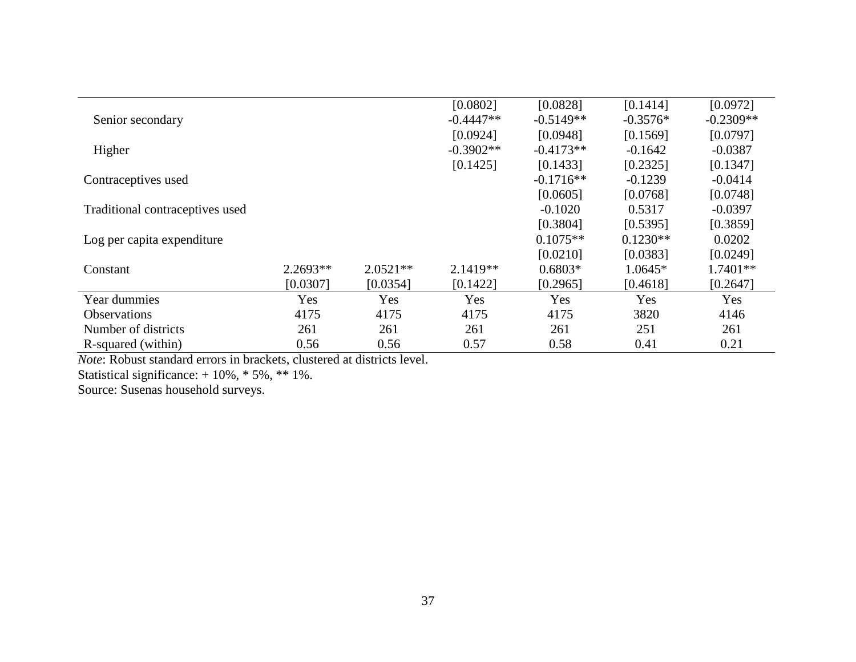|                                 |            |            | [0.0802]    | [0.0828]    | [0.1414]   | [0.0972]    |
|---------------------------------|------------|------------|-------------|-------------|------------|-------------|
| Senior secondary                |            |            | $-0.4447**$ | $-0.5149**$ | $-0.3576*$ | $-0.2309**$ |
|                                 |            |            | [0.0924]    | [0.0948]    | [0.1569]   | [0.0797]    |
| Higher                          |            |            | $-0.3902**$ | $-0.4173**$ | $-0.1642$  | $-0.0387$   |
|                                 |            |            | [0.1425]    | [0.1433]    | [0.2325]   | [0.1347]    |
| Contraceptives used             |            |            |             | $-0.1716**$ | $-0.1239$  | $-0.0414$   |
|                                 |            |            |             | [0.0605]    | [0.0768]   | [0.0748]    |
| Traditional contraceptives used |            |            |             | $-0.1020$   | 0.5317     | $-0.0397$   |
|                                 |            |            |             | [0.3804]    | [0.5395]   | [0.3859]    |
| Log per capita expenditure      |            |            |             | $0.1075**$  | $0.1230**$ | 0.0202      |
|                                 |            |            |             | [0.0210]    | [0.0383]   | [0.0249]    |
| Constant                        | $2.2693**$ | $2.0521**$ | $2.1419**$  | $0.6803*$   | $1.0645*$  | $1.7401**$  |
|                                 | [0.0307]   | [0.0354]   | [0.1422]    | [0.2965]    | [0.4618]   | [0.2647]    |
| Year dummies                    | Yes        | Yes        | Yes         | Yes         | Yes        | Yes         |
| <i><b>Observations</b></i>      | 4175       | 4175       | 4175        | 4175        | 3820       | 4146        |
| Number of districts             | 261        | 261        | 261         | 261         | 251        | 261         |
| R-squared (within)              | 0.56       | 0.56       | 0.57        | 0.58        | 0.41       | 0.21        |

*Note*: Robust standard errors in brackets, clustered at districts level.

Statistical significance: + 10%, \* 5%, \*\* 1%.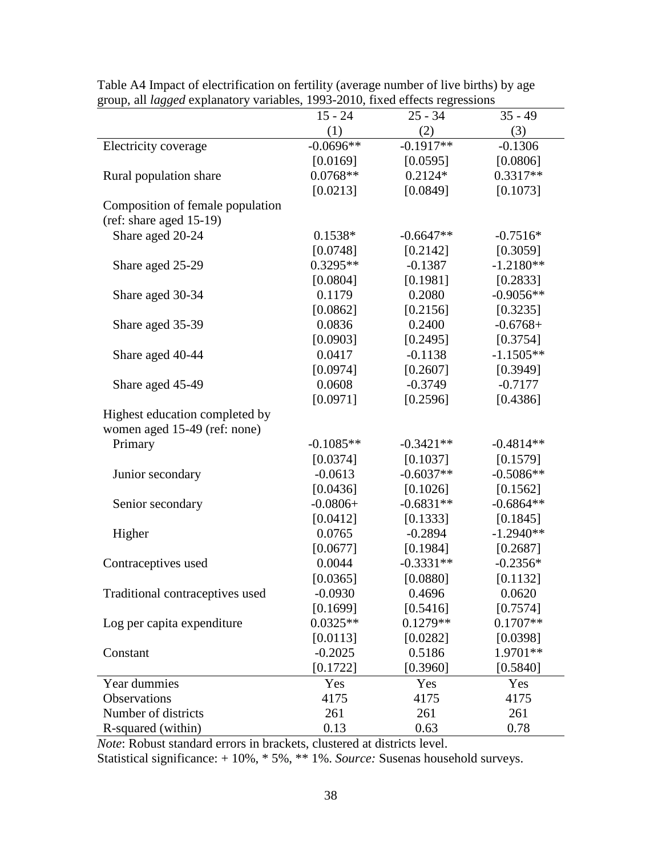|                                  | $15 - 24$   | $25 - 34$   | $35 - 49$   |
|----------------------------------|-------------|-------------|-------------|
|                                  | (1)         | (2)         | (3)         |
| Electricity coverage             | $-0.0696**$ | $-0.1917**$ | $-0.1306$   |
|                                  | [0.0169]    | [0.0595]    | [0.0806]    |
| Rural population share           | $0.0768**$  | $0.2124*$   | $0.3317**$  |
|                                  | [0.0213]    | [0.0849]    | [0.1073]    |
| Composition of female population |             |             |             |
| $(ref: share aged 15-19)$        |             |             |             |
| Share aged 20-24                 | $0.1538*$   | $-0.6647**$ | $-0.7516*$  |
|                                  | [0.0748]    | [0.2142]    | [0.3059]    |
| Share aged 25-29                 | $0.3295**$  | $-0.1387$   | $-1.2180**$ |
|                                  | [0.0804]    | [0.1981]    | [0.2833]    |
| Share aged 30-34                 | 0.1179      | 0.2080      | $-0.9056**$ |
|                                  | [0.0862]    | [0.2156]    | [0.3235]    |
| Share aged 35-39                 | 0.0836      | 0.2400      | $-0.6768+$  |
|                                  | [0.0903]    | [0.2495]    | [0.3754]    |
| Share aged 40-44                 | 0.0417      | $-0.1138$   | $-1.1505**$ |
|                                  | [0.0974]    | [0.2607]    | [0.3949]    |
| Share aged 45-49                 | 0.0608      | $-0.3749$   | $-0.7177$   |
|                                  | [0.0971]    | [0.2596]    | [0.4386]    |
| Highest education completed by   |             |             |             |
| women aged 15-49 (ref: none)     |             |             |             |
| Primary                          | $-0.1085**$ | $-0.3421**$ | $-0.4814**$ |
|                                  | [0.0374]    | [0.1037]    | [0.1579]    |
| Junior secondary                 | $-0.0613$   | $-0.6037**$ | $-0.5086**$ |
|                                  | [0.0436]    | [0.1026]    | [0.1562]    |
| Senior secondary                 | $-0.0806+$  | $-0.6831**$ | $-0.6864**$ |
|                                  | [0.0412]    | [0.1333]    | [0.1845]    |
| Higher                           | 0.0765      | $-0.2894$   | $-1.2940**$ |
|                                  | [0.0677]    | [0.1984]    | [0.2687]    |
| Contraceptives used              | 0.0044      | $-0.3331**$ | $-0.2356*$  |
|                                  | [0.0365]    | [0.0880]    | [0.1132]    |
| Traditional contraceptives used  | $-0.0930$   | 0.4696      | 0.0620      |
|                                  | [0.1699]    | [0.5416]    | [0.7574]    |
| Log per capita expenditure       | $0.0325**$  | $0.1279**$  | $0.1707**$  |
|                                  | [0.0113]    | [0.0282]    | [0.0398]    |
| Constant                         | $-0.2025$   | 0.5186      | 1.9701**    |
|                                  | [0.1722]    | [0.3960]    | [0.5840]    |
| Year dummies                     | Yes         | Yes         | Yes         |
| Observations                     | 4175        | 4175        | 4175        |
| Number of districts              | 261         | 261         | 261         |
| R-squared (within)               | 0.13        | 0.63        | 0.78        |

Table A4 Impact of electrification on fertility (average number of live births) by age group, all *lagged* explanatory variables, 1993-2010, fixed effects regressions

*Note*: Robust standard errors in brackets, clustered at districts level.

Statistical significance: + 10%, \* 5%, \*\* 1%. *Source:* Susenas household surveys.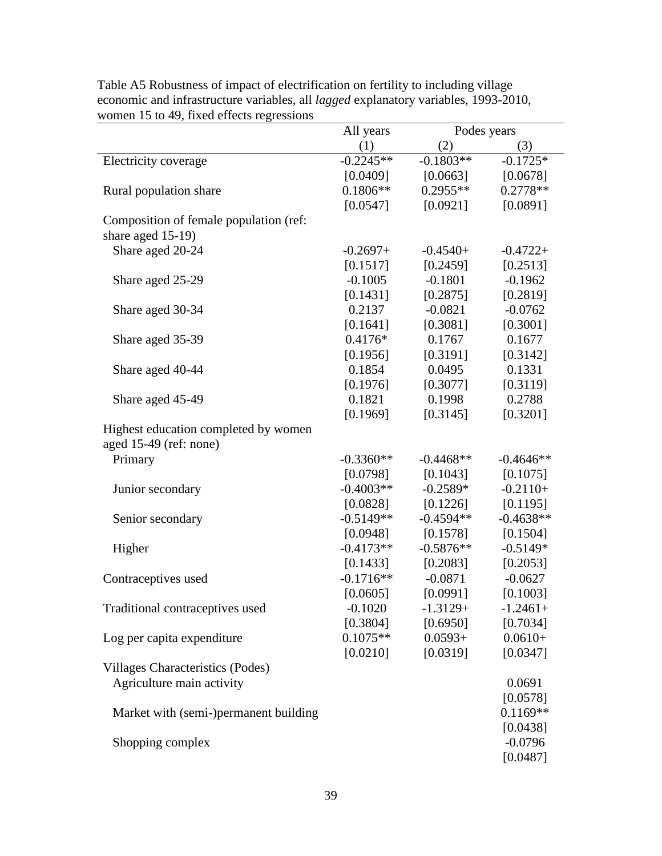| $m$ officit 15 to $\pm$ 7, frace cricels regressions | All years   | Podes years |             |
|------------------------------------------------------|-------------|-------------|-------------|
|                                                      | (1)         | (2)         | (3)         |
| Electricity coverage                                 | $-0.2245**$ | $-0.1803**$ | $-0.1725*$  |
|                                                      | [0.0409]    | [0.0663]    | [0.0678]    |
| Rural population share                               | $0.1806**$  | $0.2955**$  | $0.2778**$  |
|                                                      | [0.0547]    | [0.0921]    | [0.0891]    |
| Composition of female population (ref:               |             |             |             |
| share aged 15-19)                                    |             |             |             |
| Share aged 20-24                                     | $-0.2697+$  | $-0.4540+$  | $-0.4722+$  |
|                                                      | [0.1517]    | [0.2459]    | [0.2513]    |
| Share aged 25-29                                     | $-0.1005$   | $-0.1801$   | $-0.1962$   |
|                                                      | [0.1431]    | [0.2875]    | [0.2819]    |
| Share aged 30-34                                     | 0.2137      | $-0.0821$   | $-0.0762$   |
|                                                      | [0.1641]    | [0.3081]    | [0.3001]    |
| Share aged 35-39                                     | $0.4176*$   | 0.1767      | 0.1677      |
|                                                      | [0.1956]    | [0.3191]    | [0.3142]    |
| Share aged 40-44                                     | 0.1854      | 0.0495      | 0.1331      |
|                                                      | [0.1976]    | [0.3077]    | [0.3119]    |
| Share aged 45-49                                     | 0.1821      | 0.1998      | 0.2788      |
|                                                      | [0.1969]    | [0.3145]    | [0.3201]    |
| Highest education completed by women                 |             |             |             |
| aged $15-49$ (ref: none)                             |             |             |             |
| Primary                                              | $-0.3360**$ | $-0.4468**$ | $-0.4646**$ |
|                                                      | [0.0798]    | [0.1043]    | [0.1075]    |
| Junior secondary                                     | $-0.4003**$ | $-0.2589*$  | $-0.2110+$  |
|                                                      | [0.0828]    | [0.1226]    | [0.1195]    |
| Senior secondary                                     | $-0.5149**$ | $-0.4594**$ | $-0.4638**$ |
|                                                      | [0.0948]    | [0.1578]    | [0.1504]    |
| Higher                                               | $-0.4173**$ | $-0.5876**$ | $-0.5149*$  |
|                                                      | [0.1433]    | [0.2083]    | [0.2053]    |
| Contraceptives used                                  | $-0.1716**$ | $-0.0871$   | $-0.0627$   |
|                                                      | [0.0605]    | [0.0991]    | [0.1003]    |
| Traditional contraceptives used                      | $-0.1020$   | $-1.3129+$  | $-1.2461+$  |
|                                                      | [0.3804]    | [0.6950]    | [0.7034]    |
| Log per capita expenditure                           | $0.1075**$  | $0.0593+$   | $0.0610+$   |
|                                                      | [0.0210]    | [0.0319]    | [0.0347]    |
|                                                      |             |             |             |
| Villages Characteristics (Podes)                     |             |             |             |
| Agriculture main activity                            |             |             | 0.0691      |
|                                                      |             |             | [0.0578]    |
| Market with (semi-)permanent building                |             |             | $0.1169**$  |
|                                                      |             |             | [0.0438]    |
| Shopping complex                                     |             |             | $-0.0796$   |
|                                                      |             |             | [0.0487]    |

Table A5 Robustness of impact of electrification on fertility to including village economic and infrastructure variables, all *lagged* explanatory variables, 1993-2010, women 15 to 49, fixed effects regressions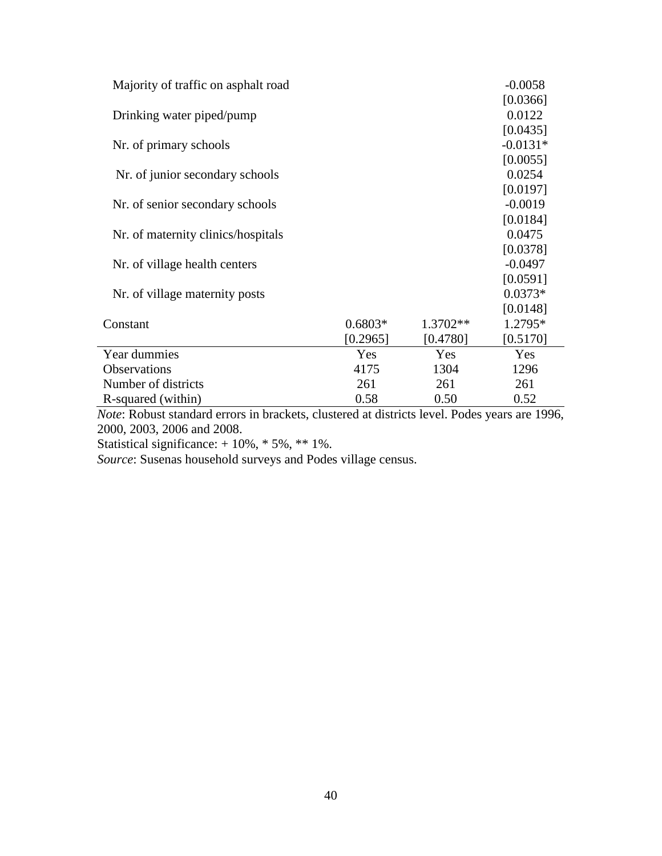| Majority of traffic on asphalt road |           |            | $-0.0058$  |
|-------------------------------------|-----------|------------|------------|
|                                     |           |            | [0.0366]   |
| Drinking water piped/pump           |           |            | 0.0122     |
|                                     |           |            | [0.0435]   |
| Nr. of primary schools              |           |            | $-0.0131*$ |
|                                     |           |            | [0.0055]   |
| Nr. of junior secondary schools     |           |            | 0.0254     |
|                                     |           |            | [0.0197]   |
| Nr. of senior secondary schools     |           |            | $-0.0019$  |
|                                     |           |            | [0.0184]   |
| Nr. of maternity clinics/hospitals  |           |            | 0.0475     |
|                                     |           |            | [0.0378]   |
| Nr. of village health centers       |           |            | $-0.0497$  |
|                                     |           |            | [0.0591]   |
| Nr. of village maternity posts      |           |            | $0.0373*$  |
|                                     |           |            | [0.0148]   |
| Constant                            | $0.6803*$ | $1.3702**$ | 1.2795*    |
|                                     | [0.2965]  | [0.4780]   | [0.5170]   |
| Year dummies                        | Yes       | Yes        | Yes        |
| Observations                        | 4175      | 1304       | 1296       |
| Number of districts                 | 261       | 261        | 261        |
| R-squared (within)                  | 0.58      | 0.50       | 0.52       |

*Note*: Robust standard errors in brackets, clustered at districts level. Podes years are 1996, 2000, 2003, 2006 and 2008.

Statistical significance: + 10%, \* 5%, \*\* 1%.

*Source*: Susenas household surveys and Podes village census.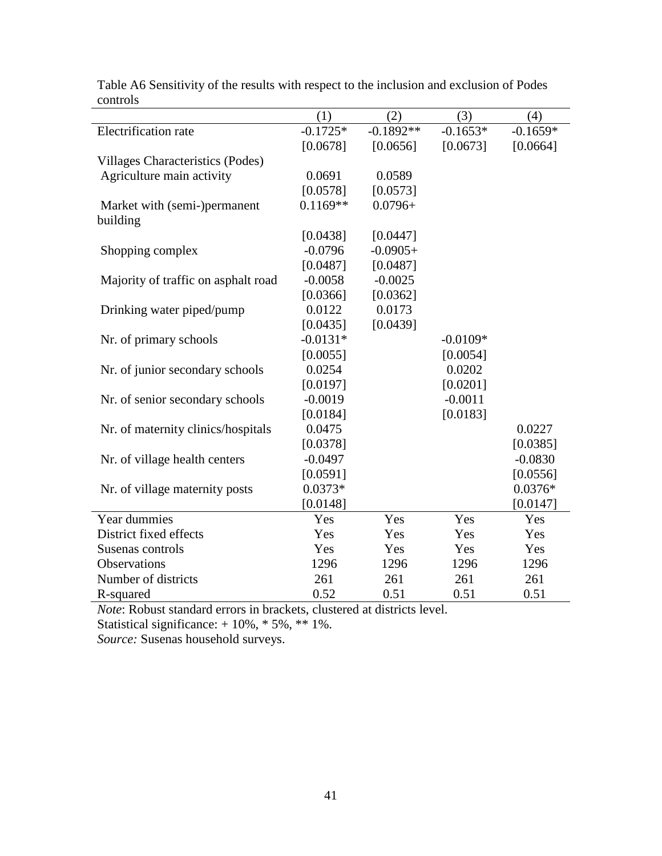|                                     | (1)        | (2)         | (3)        | (4)        |
|-------------------------------------|------------|-------------|------------|------------|
| Electrification rate                | $-0.1725*$ | $-0.1892**$ | $-0.1653*$ | $-0.1659*$ |
|                                     | [0.0678]   | [0.0656]    | [0.0673]   | [0.0664]   |
| Villages Characteristics (Podes)    |            |             |            |            |
| Agriculture main activity           | 0.0691     | 0.0589      |            |            |
|                                     | [0.0578]   | [0.0573]    |            |            |
| Market with (semi-)permanent        | $0.1169**$ | $0.0796+$   |            |            |
| building                            |            |             |            |            |
|                                     | [0.0438]   | [0.0447]    |            |            |
| Shopping complex                    | $-0.0796$  | $-0.0905+$  |            |            |
|                                     | [0.0487]   | [0.0487]    |            |            |
| Majority of traffic on asphalt road | $-0.0058$  | $-0.0025$   |            |            |
|                                     | [0.0366]   | [0.0362]    |            |            |
| Drinking water piped/pump           | 0.0122     | 0.0173      |            |            |
|                                     | [0.0435]   | [0.0439]    |            |            |
| Nr. of primary schools              | $-0.0131*$ |             | $-0.0109*$ |            |
|                                     | [0.0055]   |             | [0.0054]   |            |
| Nr. of junior secondary schools     | 0.0254     |             | 0.0202     |            |
|                                     | [0.0197]   |             | [0.0201]   |            |
| Nr. of senior secondary schools     | $-0.0019$  |             | $-0.0011$  |            |
|                                     | [0.0184]   |             | [0.0183]   |            |
| Nr. of maternity clinics/hospitals  | 0.0475     |             |            | 0.0227     |
|                                     | [0.0378]   |             |            | [0.0385]   |
| Nr. of village health centers       | $-0.0497$  |             |            | $-0.0830$  |
|                                     | [0.0591]   |             |            | [0.0556]   |
| Nr. of village maternity posts      | $0.0373*$  |             |            | $0.0376*$  |
|                                     | [0.0148]   |             |            | [0.0147]   |
| Year dummies                        | Yes        | Yes         | Yes        | Yes        |
| District fixed effects              | Yes        | Yes         | Yes        | Yes        |
| Susenas controls                    | Yes        | Yes         | Yes        | Yes        |
| Observations                        | 1296       | 1296        | 1296       | 1296       |
| Number of districts                 | 261        | 261         | 261        | 261        |
| R-squared                           | 0.52       | 0.51        | 0.51       | 0.51       |

Table A6 Sensitivity of the results with respect to the inclusion and exclusion of Podes controls

*Note*: Robust standard errors in brackets, clustered at districts level.

Statistical significance: + 10%, \* 5%, \*\* 1%.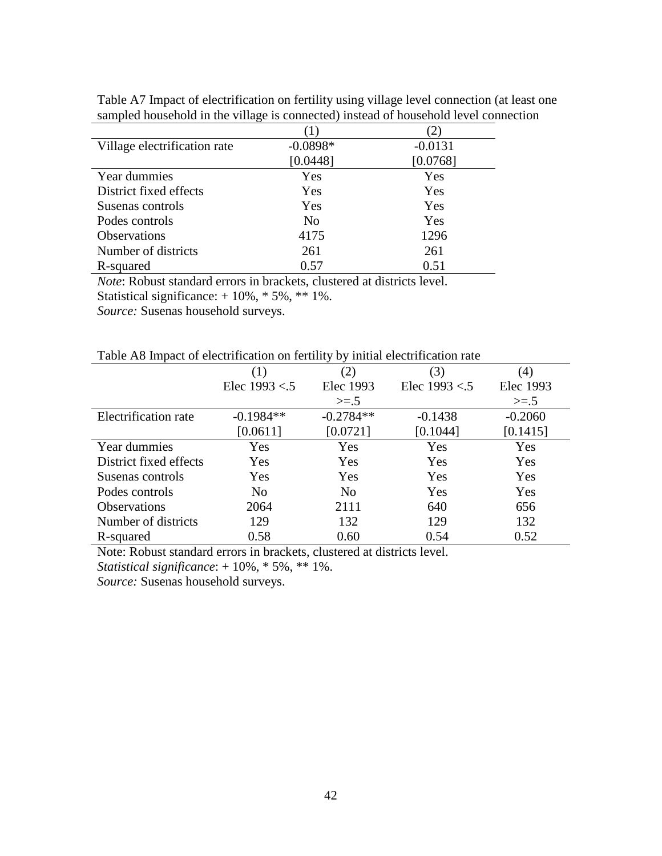| Village electrification rate | $-0.0898*$     | $-0.0131$ |
|------------------------------|----------------|-----------|
|                              | [0.0448]       | [0.0768]  |
| Year dummies                 | Yes            | Yes       |
| District fixed effects       | Yes            | Yes       |
| Susenas controls             | Yes            | Yes       |
| Podes controls               | N <sub>0</sub> | Yes       |
| <b>Observations</b>          | 4175           | 1296      |
| Number of districts          | 261            | 261       |
| R-squared                    | 0.57           | 0.51      |

Table A7 Impact of electrification on fertility using village level connection (at least one sampled household in the village is connected) instead of household level connection

*Note*: Robust standard errors in brackets, clustered at districts level.

Statistical significance: + 10%, \* 5%, \*\* 1%.

*Source:* Susenas household surveys.

| Table A8 Impact of electrification on fertility by initial electrification rate |  |  |
|---------------------------------------------------------------------------------|--|--|
|                                                                                 |  |  |

|                        | (1)             | (2)            | (3)             | $\left( 4\right)$ |
|------------------------|-----------------|----------------|-----------------|-------------------|
|                        | Elec $1993 < 5$ | Elec 1993      | Elec $1993 < 5$ | Elec 1993         |
|                        |                 | $>=.5$         |                 | $>=.5$            |
| Electrification rate   | $-0.1984**$     | $-0.2784**$    | $-0.1438$       | $-0.2060$         |
|                        | [0.0611]        | [0.0721]       | [0.1044]        | [0.1415]          |
| Year dummies           | Yes             | Yes            | Yes             | Yes               |
| District fixed effects | Yes             | Yes            | Yes             | Yes               |
| Susenas controls       | Yes             | Yes            | Yes             | Yes               |
| Podes controls         | N <sub>0</sub>  | N <sub>0</sub> | Yes             | Yes               |
| <b>Observations</b>    | 2064            | 2111           | 640             | 656               |
| Number of districts    | 129             | 132            | 129             | 132               |
| R-squared              | 0.58            | 0.60           | 0.54            | 0.52              |

Note: Robust standard errors in brackets, clustered at districts level.

*Statistical significance*: + 10%, \* 5%, \*\* 1%.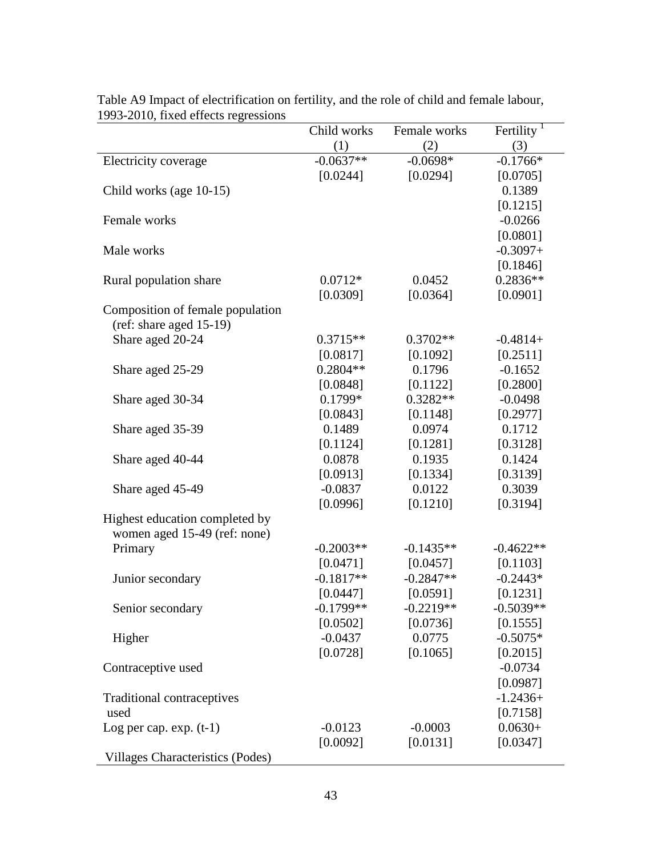| $1222$ 2010, trace cricels regressions  | Child works | Female works | Fertility $1$ |
|-----------------------------------------|-------------|--------------|---------------|
|                                         | (1)         | (2)          | (3)           |
| Electricity coverage                    | $-0.0637**$ | $-0.0698*$   | $-0.1766*$    |
|                                         | [0.0244]    | [0.0294]     | [0.0705]      |
| Child works (age 10-15)                 |             |              | 0.1389        |
|                                         |             |              | [0.1215]      |
| Female works                            |             |              | $-0.0266$     |
|                                         |             |              | [0.0801]      |
| Male works                              |             |              | $-0.3097+$    |
|                                         |             |              | [0.1846]      |
| Rural population share                  | $0.0712*$   | 0.0452       | $0.2836**$    |
|                                         | [0.0309]    | [0.0364]     | [0.0901]      |
| Composition of female population        |             |              |               |
| $(ref: share aged 15-19)$               |             |              |               |
| Share aged 20-24                        | $0.3715**$  | $0.3702**$   | $-0.4814+$    |
|                                         | [0.0817]    | [0.1092]     | [0.2511]      |
| Share aged 25-29                        | $0.2804**$  | 0.1796       | $-0.1652$     |
|                                         | [0.0848]    | [0.1122]     | [0.2800]      |
| Share aged 30-34                        | $0.1799*$   | $0.3282**$   | $-0.0498$     |
|                                         | [0.0843]    | [0.1148]     | [0.2977]      |
| Share aged 35-39                        | 0.1489      | 0.0974       | 0.1712        |
|                                         | [0.1124]    | [0.1281]     | [0.3128]      |
| Share aged 40-44                        | 0.0878      | 0.1935       | 0.1424        |
|                                         | [0.0913]    | [0.1334]     | [0.3139]      |
| Share aged 45-49                        | $-0.0837$   | 0.0122       | 0.3039        |
|                                         | [0.0996]    | [0.1210]     | [0.3194]      |
| Highest education completed by          |             |              |               |
| women aged 15-49 (ref: none)            |             |              |               |
| Primary                                 | $-0.2003**$ | $-0.1435**$  | $-0.4622**$   |
|                                         | [0.0471]    | [0.0457]     | [0.1103]      |
| Junior secondary                        | $-0.1817**$ | $-0.2847**$  | $-0.2443*$    |
|                                         | [0.0447]    | [0.0591]     | [0.1231]      |
| Senior secondary                        | $-0.1799**$ | $-0.2219**$  | $-0.5039**$   |
|                                         | [0.0502]    | [0.0736]     | [0.1555]      |
| Higher                                  | $-0.0437$   | 0.0775       | $-0.5075*$    |
|                                         | [0.0728]    | [0.1065]     | [0.2015]      |
| Contraceptive used                      |             |              | $-0.0734$     |
|                                         |             |              | [0.0987]      |
| Traditional contraceptives              |             |              | $-1.2436+$    |
| used                                    |             |              | [0.7158]      |
| Log per cap. $exp. (t-1)$               | $-0.0123$   | $-0.0003$    | $0.0630+$     |
|                                         | [0.0092]    | [0.0131]     | [0.0347]      |
| <b>Villages Characteristics (Podes)</b> |             |              |               |

Table A9 Impact of electrification on fertility, and the role of child and female labour, 1993-2010, fixed effects regressions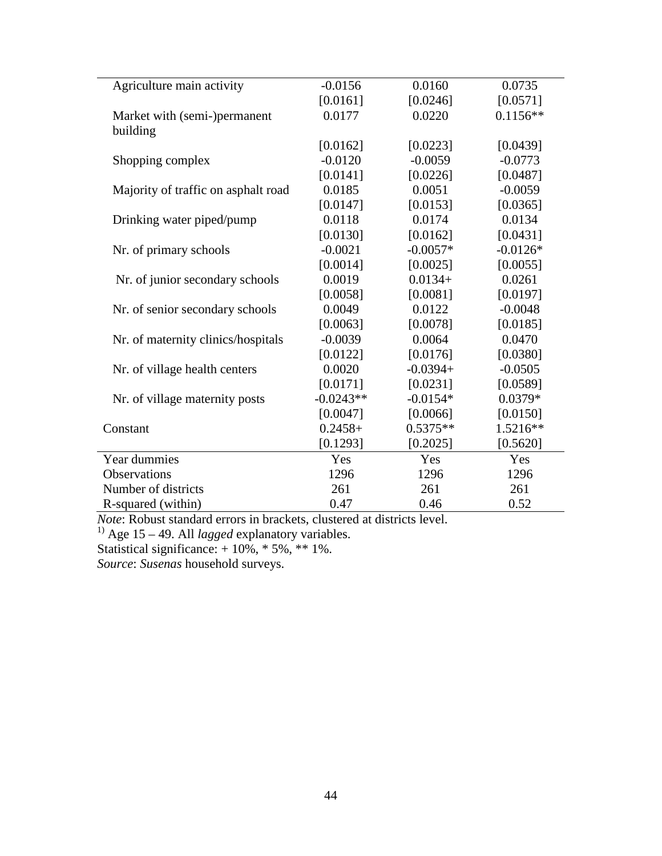| Agriculture main activity           | $-0.0156$   | 0.0160     | 0.0735     |
|-------------------------------------|-------------|------------|------------|
|                                     | [0.0161]    | [0.0246]   | [0.0571]   |
| Market with (semi-)permanent        | 0.0177      | 0.0220     | $0.1156**$ |
| building                            |             |            |            |
|                                     | [0.0162]    | [0.0223]   | [0.0439]   |
| Shopping complex                    | $-0.0120$   | $-0.0059$  | $-0.0773$  |
|                                     | [0.0141]    | [0.0226]   | [0.0487]   |
| Majority of traffic on asphalt road | 0.0185      | 0.0051     | $-0.0059$  |
|                                     | [0.0147]    | [0.0153]   | [0.0365]   |
| Drinking water piped/pump           | 0.0118      | 0.0174     | 0.0134     |
|                                     | [0.0130]    | [0.0162]   | [0.0431]   |
| Nr. of primary schools              | $-0.0021$   | $-0.0057*$ | $-0.0126*$ |
|                                     | [0.0014]    | [0.0025]   | [0.0055]   |
| Nr. of junior secondary schools     | 0.0019      | $0.0134+$  | 0.0261     |
|                                     | [0.0058]    | [0.0081]   | [0.0197]   |
| Nr. of senior secondary schools     | 0.0049      | 0.0122     | $-0.0048$  |
|                                     | [0.0063]    | [0.0078]   | [0.0185]   |
| Nr. of maternity clinics/hospitals  | $-0.0039$   | 0.0064     | 0.0470     |
|                                     | [0.0122]    | [0.0176]   | [0.0380]   |
| Nr. of village health centers       | 0.0020      | $-0.0394+$ | $-0.0505$  |
|                                     | [0.0171]    | [0.0231]   | [0.0589]   |
| Nr. of village maternity posts      | $-0.0243**$ | $-0.0154*$ | $0.0379*$  |
|                                     | [0.0047]    | [0.0066]   | [0.0150]   |
| Constant                            | $0.2458+$   | $0.5375**$ | 1.5216**   |
|                                     | [0.1293]    | [0.2025]   | [0.5620]   |
| Year dummies                        | Yes         | Yes        | Yes        |
| <b>Observations</b>                 | 1296        | 1296       | 1296       |
| Number of districts                 | 261         | 261        | 261        |
| R-squared (within)                  | 0.47        | 0.46       | 0.52       |

*Note*: Robust standard errors in brackets, clustered at districts level.

<sup>1)</sup> Age 15 – 49. All *lagged* explanatory variables.

Statistical significance: + 10%, \* 5%, \*\* 1%.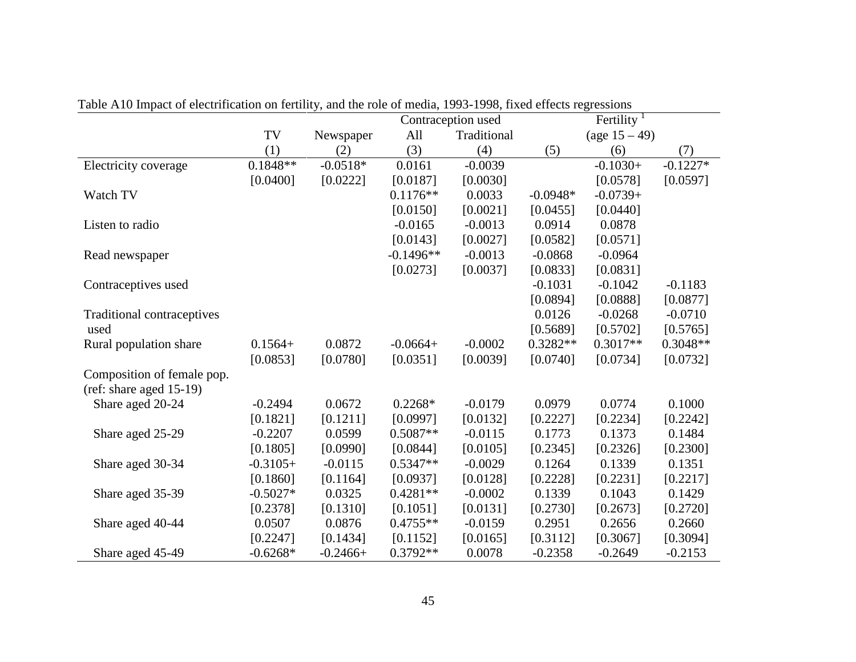|                                   |            |            |             | Contraception used |            | Fertility $1$    |            |
|-----------------------------------|------------|------------|-------------|--------------------|------------|------------------|------------|
|                                   | TV         | Newspaper  | All         | Traditional        |            | (age $15 - 49$ ) |            |
|                                   | (1)        | (2)        | (3)         | (4)                | (5)        | (6)              | (7)        |
| Electricity coverage              | $0.1848**$ | $-0.0518*$ | 0.0161      | $-0.0039$          |            | $-0.1030+$       | $-0.1227*$ |
|                                   | [0.0400]   | [0.0222]   | [0.0187]    | [0.0030]           |            | [0.0578]         | [0.0597]   |
| Watch TV                          |            |            | $0.1176**$  | 0.0033             | $-0.0948*$ | $-0.0739+$       |            |
|                                   |            |            | [0.0150]    | [0.0021]           | [0.0455]   | [0.0440]         |            |
| Listen to radio                   |            |            | $-0.0165$   | $-0.0013$          | 0.0914     | 0.0878           |            |
|                                   |            |            | [0.0143]    | [0.0027]           | [0.0582]   | [0.0571]         |            |
| Read newspaper                    |            |            | $-0.1496**$ | $-0.0013$          | $-0.0868$  | $-0.0964$        |            |
|                                   |            |            | [0.0273]    | [0.0037]           | [0.0833]   | [0.0831]         |            |
| Contraceptives used               |            |            |             |                    | $-0.1031$  | $-0.1042$        | $-0.1183$  |
|                                   |            |            |             |                    | [0.0894]   | [0.0888]         | [0.0877]   |
| <b>Traditional contraceptives</b> |            |            |             |                    | 0.0126     | $-0.0268$        | $-0.0710$  |
| used                              |            |            |             |                    | [0.5689]   | [0.5702]         | [0.5765]   |
| Rural population share            | $0.1564+$  | 0.0872     | $-0.0664+$  | $-0.0002$          | $0.3282**$ | $0.3017**$       | $0.3048**$ |
|                                   | [0.0853]   | [0.0780]   | [0.0351]    | [0.0039]           | [0.0740]   | [0.0734]         | [0.0732]   |
| Composition of female pop.        |            |            |             |                    |            |                  |            |
| (ref: share aged 15-19)           |            |            |             |                    |            |                  |            |
| Share aged 20-24                  | $-0.2494$  | 0.0672     | $0.2268*$   | $-0.0179$          | 0.0979     | 0.0774           | 0.1000     |
|                                   | [0.1821]   | [0.1211]   | [0.0997]    | [0.0132]           | [0.2227]   | [0.2234]         | [0.2242]   |
| Share aged 25-29                  | $-0.2207$  | 0.0599     | $0.5087**$  | $-0.0115$          | 0.1773     | 0.1373           | 0.1484     |
|                                   | [0.1805]   | [0.0990]   | [0.0844]    | [0.0105]           | [0.2345]   | [0.2326]         | [0.2300]   |
| Share aged 30-34                  | $-0.3105+$ | $-0.0115$  | $0.5347**$  | $-0.0029$          | 0.1264     | 0.1339           | 0.1351     |
|                                   | [0.1860]   | [0.1164]   | [0.0937]    | [0.0128]           | [0.2228]   | [0.2231]         | [0.2217]   |
| Share aged 35-39                  | $-0.5027*$ | 0.0325     | $0.4281**$  | $-0.0002$          | 0.1339     | 0.1043           | 0.1429     |
|                                   | [0.2378]   | [0.1310]   | [0.1051]    | [0.0131]           | [0.2730]   | [0.2673]         | [0.2720]   |
| Share aged 40-44                  | 0.0507     | 0.0876     | $0.4755**$  | $-0.0159$          | 0.2951     | 0.2656           | 0.2660     |
|                                   | [0.2247]   | [0.1434]   | [0.1152]    | [0.0165]           | [0.3112]   | [0.3067]         | [0.3094]   |
| Share aged 45-49                  | $-0.6268*$ | $-0.2466+$ | $0.3792**$  | 0.0078             | $-0.2358$  | $-0.2649$        | $-0.2153$  |

Table A10 Impact of electrification on fertility, and the role of media, 1993-1998, fixed effects regressions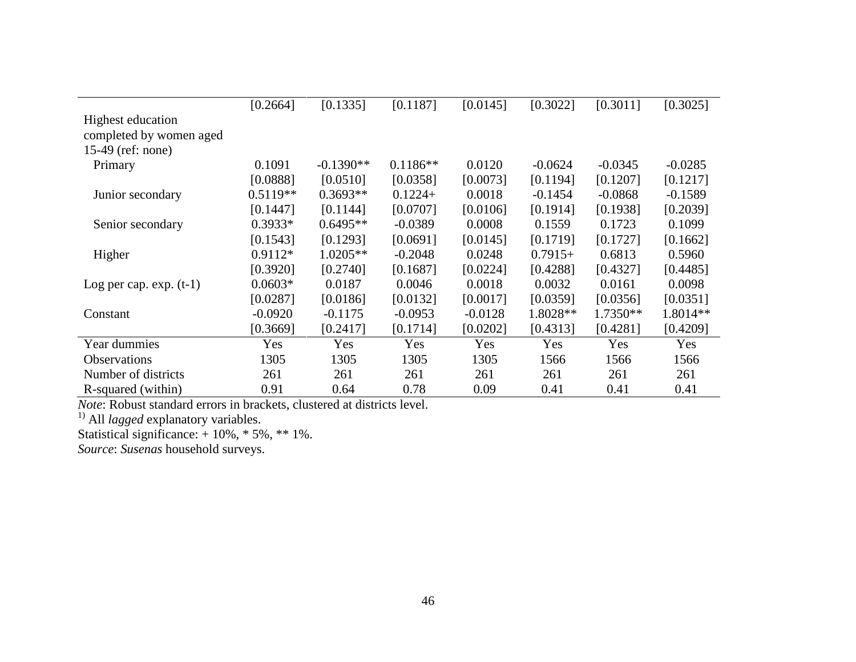|                           | [0.2664]   | [0.1335]    | [0.1187]   | [0.0145]  | [0.3022]  | [0.3011]   | [0.3025]  |
|---------------------------|------------|-------------|------------|-----------|-----------|------------|-----------|
|                           |            |             |            |           |           |            |           |
| Highest education         |            |             |            |           |           |            |           |
| completed by women aged   |            |             |            |           |           |            |           |
| $15-49$ (ref: none)       |            |             |            |           |           |            |           |
| Primary                   | 0.1091     | $-0.1390**$ | $0.1186**$ | 0.0120    | $-0.0624$ | $-0.0345$  | $-0.0285$ |
|                           | [0.0888]   | [0.0510]    | [0.0358]   | [0.0073]  | [0.1194]  | [0.1207]   | [0.1217]  |
| Junior secondary          | $0.5119**$ | $0.3693**$  | $0.1224+$  | 0.0018    | $-0.1454$ | $-0.0868$  | $-0.1589$ |
|                           | [0.1447]   | [0.1144]    | [0.0707]   | [0.0106]  | [0.1914]  | [0.1938]   | [0.2039]  |
| Senior secondary          | $0.3933*$  | $0.6495**$  | $-0.0389$  | 0.0008    | 0.1559    | 0.1723     | 0.1099    |
|                           | [0.1543]   | [0.1293]    | [0.0691]   | [0.0145]  | [0.1719]  | [0.1727]   | [0.1662]  |
| Higher                    | $0.9112*$  | $1.0205**$  | $-0.2048$  | 0.0248    | $0.7915+$ | 0.6813     | 0.5960    |
|                           | [0.3920]   | [0.2740]    | [0.1687]   | [0.0224]  | [0.4288]  | [0.4327]   | [0.4485]  |
| Log per cap. $exp. (t-1)$ | $0.0603*$  | 0.0187      | 0.0046     | 0.0018    | 0.0032    | 0.0161     | 0.0098    |
|                           | [0.0287]   | [0.0186]    | [0.0132]   | [0.0017]  | [0.0359]  | [0.0356]   | [0.0351]  |
| Constant                  | $-0.0920$  | $-0.1175$   | $-0.0953$  | $-0.0128$ | 1.8028**  | $1.7350**$ | 1.8014**  |
|                           | [0.3669]   | [0.2417]    | [0.1714]   | [0.0202]  | [0.4313]  | [0.4281]   | [0.4209]  |
| Year dummies              | Yes        | Yes         | Yes        | Yes       | Yes       | Yes        | Yes       |
| <b>Observations</b>       | 1305       | 1305        | 1305       | 1305      | 1566      | 1566       | 1566      |
| Number of districts       | 261        | 261         | 261        | 261       | 261       | 261        | 261       |
| R-squared (within)        | 0.91       | 0.64        | 0.78       | 0.09      | 0.41      | 0.41       | 0.41      |

*Note*: Robust standard errors in brackets, clustered at districts level.

<sup>1)</sup> All *lagged* explanatory variables.

Statistical significance: + 10%, \* 5%, \*\* 1%.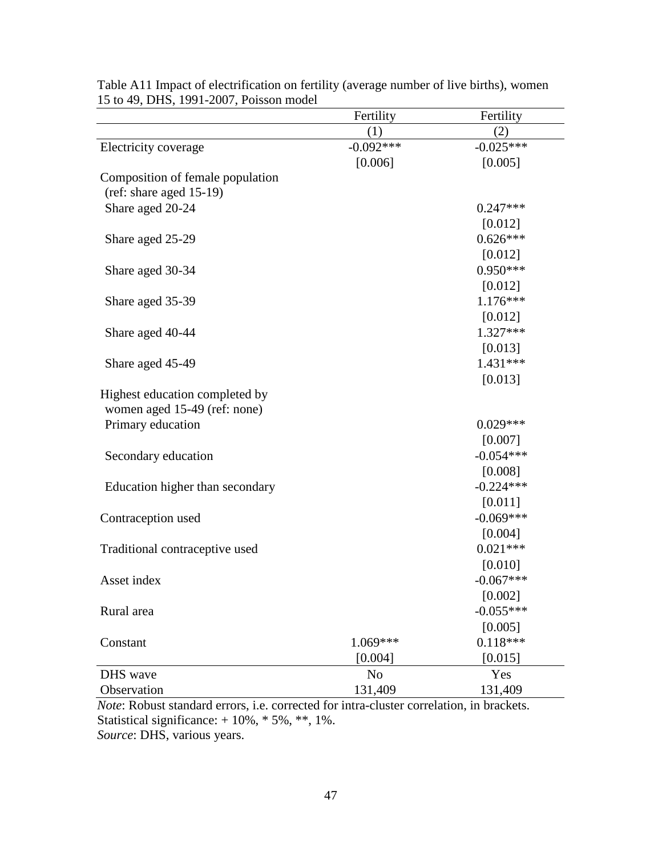| $13$ to $72$ , $2113$ , $1221$ $2007$ , I 0133011 1110001 | Fertility      | Fertility   |
|-----------------------------------------------------------|----------------|-------------|
|                                                           | (1)            | (2)         |
| Electricity coverage                                      | $-0.092***$    | $-0.025***$ |
|                                                           | [0.006]        | [0.005]     |
| Composition of female population                          |                |             |
| (ref: share aged 15-19)                                   |                |             |
| Share aged 20-24                                          |                | $0.247***$  |
|                                                           |                | [0.012]     |
| Share aged 25-29                                          |                | $0.626***$  |
|                                                           |                | [0.012]     |
| Share aged 30-34                                          |                | $0.950***$  |
|                                                           |                | [0.012]     |
| Share aged 35-39                                          |                | $1.176***$  |
|                                                           |                | [0.012]     |
| Share aged 40-44                                          |                | $1.327***$  |
|                                                           |                | [0.013]     |
| Share aged 45-49                                          |                | $1.431***$  |
|                                                           |                | [0.013]     |
| Highest education completed by                            |                |             |
| women aged 15-49 (ref: none)                              |                |             |
| Primary education                                         |                | $0.029***$  |
|                                                           |                | [0.007]     |
| Secondary education                                       |                | $-0.054***$ |
|                                                           |                | [0.008]     |
| Education higher than secondary                           |                | $-0.224***$ |
|                                                           |                | [0.011]     |
| Contraception used                                        |                | $-0.069***$ |
|                                                           |                | [0.004]     |
| Traditional contraceptive used                            |                | $0.021***$  |
|                                                           |                | [0.010]     |
| Asset index                                               |                | $-0.067***$ |
|                                                           |                | [0.002]     |
| Rural area                                                |                | $-0.055***$ |
|                                                           |                | [0.005]     |
| Constant                                                  | 1.069***       | $0.118***$  |
|                                                           | [0.004]        | [0.015]     |
| DHS wave                                                  | N <sub>o</sub> | Yes         |
| Observation                                               | 131,409        | 131,409     |

Table A11 Impact of electrification on fertility (average number of live births), women 15 to 49, DHS, 1991-2007, Poisson model

*Note*: Robust standard errors, i.e. corrected for intra-cluster correlation, in brackets. Statistical significance: + 10%, \* 5%, \*\*, 1%. *Source*: DHS, various years.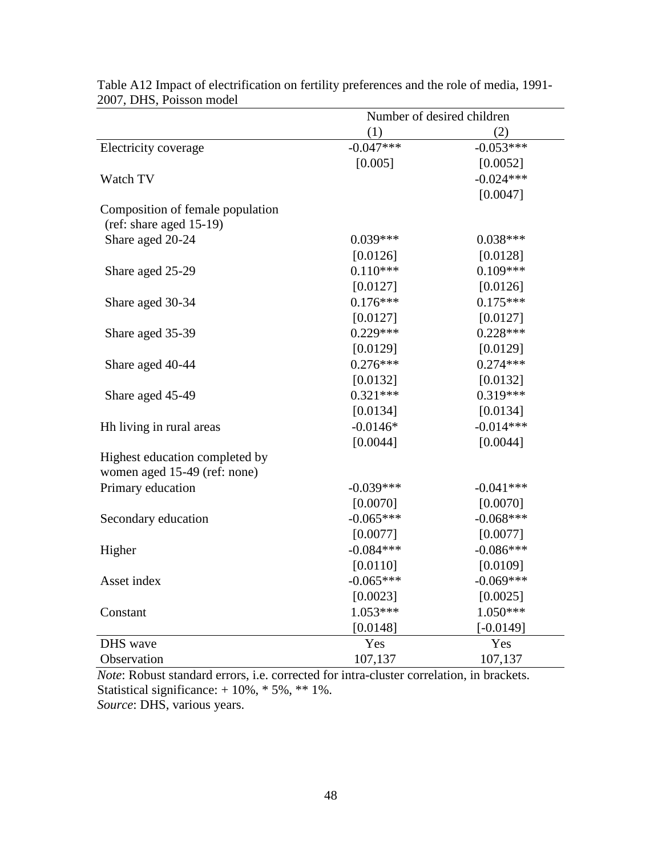| Number of desired children |                                                                                                                                                                                                                                                                              |  |
|----------------------------|------------------------------------------------------------------------------------------------------------------------------------------------------------------------------------------------------------------------------------------------------------------------------|--|
|                            | (2)                                                                                                                                                                                                                                                                          |  |
| $-0.047***$                | $-0.053***$                                                                                                                                                                                                                                                                  |  |
|                            | [0.0052]                                                                                                                                                                                                                                                                     |  |
|                            | $-0.024***$                                                                                                                                                                                                                                                                  |  |
|                            | [0.0047]                                                                                                                                                                                                                                                                     |  |
|                            |                                                                                                                                                                                                                                                                              |  |
|                            |                                                                                                                                                                                                                                                                              |  |
| $0.039***$                 | $0.038***$                                                                                                                                                                                                                                                                   |  |
| [0.0126]                   | [0.0128]                                                                                                                                                                                                                                                                     |  |
| $0.110***$                 | $0.109***$                                                                                                                                                                                                                                                                   |  |
| [0.0127]                   | [0.0126]                                                                                                                                                                                                                                                                     |  |
| $0.176***$                 | $0.175***$                                                                                                                                                                                                                                                                   |  |
|                            | [0.0127]                                                                                                                                                                                                                                                                     |  |
| $0.229***$                 | $0.228***$                                                                                                                                                                                                                                                                   |  |
|                            | [0.0129]                                                                                                                                                                                                                                                                     |  |
|                            | $0.274***$                                                                                                                                                                                                                                                                   |  |
|                            | [0.0132]                                                                                                                                                                                                                                                                     |  |
|                            | $0.319***$                                                                                                                                                                                                                                                                   |  |
|                            | [0.0134]                                                                                                                                                                                                                                                                     |  |
|                            | $-0.014***$                                                                                                                                                                                                                                                                  |  |
|                            | [0.0044]                                                                                                                                                                                                                                                                     |  |
|                            |                                                                                                                                                                                                                                                                              |  |
|                            |                                                                                                                                                                                                                                                                              |  |
|                            | $-0.041***$                                                                                                                                                                                                                                                                  |  |
|                            | [0.0070]                                                                                                                                                                                                                                                                     |  |
|                            | $-0.068***$                                                                                                                                                                                                                                                                  |  |
|                            | [0.0077]                                                                                                                                                                                                                                                                     |  |
|                            | $-0.086***$                                                                                                                                                                                                                                                                  |  |
|                            | [0.0109]                                                                                                                                                                                                                                                                     |  |
|                            | $-0.069***$                                                                                                                                                                                                                                                                  |  |
|                            | [0.0025]                                                                                                                                                                                                                                                                     |  |
|                            | $1.050***$                                                                                                                                                                                                                                                                   |  |
|                            | $[-0.0149]$                                                                                                                                                                                                                                                                  |  |
|                            | Yes                                                                                                                                                                                                                                                                          |  |
|                            | 107,137                                                                                                                                                                                                                                                                      |  |
|                            | (1)<br>[0.005]<br>[0.0127]<br>[0.0129]<br>$0.276***$<br>[0.0132]<br>$0.321***$<br>[0.0134]<br>$-0.0146*$<br>[0.0044]<br>$-0.039***$<br>[0.0070]<br>$-0.065***$<br>[0.0077]<br>$-0.084***$<br>[0.0110]<br>$-0.065***$<br>[0.0023]<br>$1.053***$<br>[0.0148]<br>Yes<br>107,137 |  |

Table A12 Impact of electrification on fertility preferences and the role of media, 1991- 2007, DHS, Poisson model

*Note*: Robust standard errors, i.e. corrected for intra-cluster correlation, in brackets. Statistical significance: + 10%, \* 5%, \*\* 1%.

*Source*: DHS, various years.